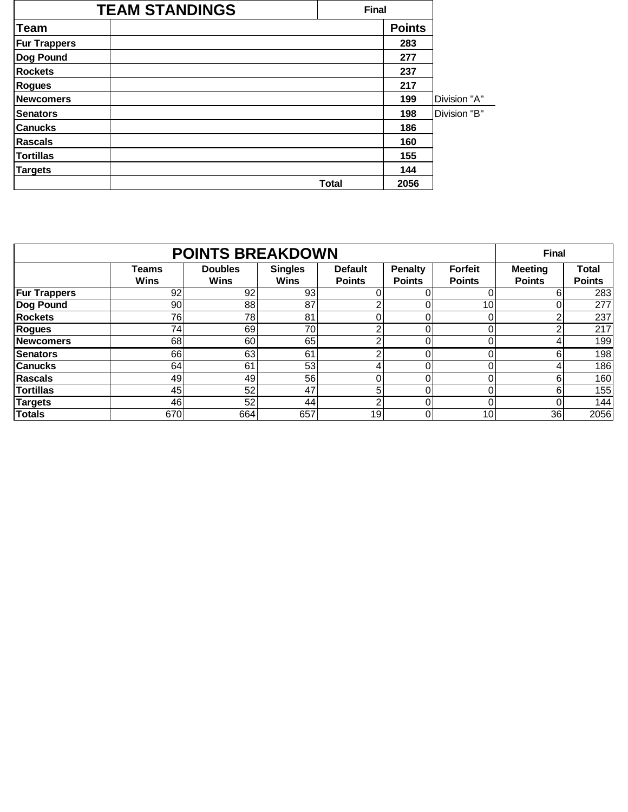|                     | <b>TEAM STANDINGS</b> | <b>Final</b> |               |              |
|---------------------|-----------------------|--------------|---------------|--------------|
| <b>Team</b>         |                       |              | <b>Points</b> |              |
| <b>Fur Trappers</b> |                       |              | 283           |              |
| Dog Pound           |                       |              | 277           |              |
| <b>Rockets</b>      |                       |              | 237           |              |
| <b>Rogues</b>       |                       |              | 217           |              |
| <b>Newcomers</b>    |                       |              | 199           | Division "A" |
| <b>Senators</b>     |                       |              | 198           | Division "B" |
| <b>Canucks</b>      |                       |              | 186           |              |
| <b>Rascals</b>      |                       |              | 160           |              |
| <b>Tortillas</b>    |                       |              | 155           |              |
| <b>Targets</b>      |                       |              | 144           |              |
|                     |                       | <b>Total</b> | 2056          |              |

|                     | <b>Final</b>         |                               |                               |                                 |                                 |                                 |                                 |                        |
|---------------------|----------------------|-------------------------------|-------------------------------|---------------------------------|---------------------------------|---------------------------------|---------------------------------|------------------------|
|                     | Teams<br><b>Wins</b> | <b>Doubles</b><br><b>Wins</b> | <b>Singles</b><br><b>Wins</b> | <b>Default</b><br><b>Points</b> | <b>Penalty</b><br><b>Points</b> | <b>Forfeit</b><br><b>Points</b> | <b>Meeting</b><br><b>Points</b> | Total<br><b>Points</b> |
| <b>Fur Trappers</b> | 92                   | 92                            | 93                            |                                 |                                 |                                 | 6                               | 283                    |
| Dog Pound           | 90                   | 88                            | 87                            | っ                               |                                 | 10                              | 0                               | 277                    |
| <b>Rockets</b>      | 76                   | 78                            | 81                            |                                 |                                 |                                 | ⌒                               | 237                    |
| Rogues              | 74                   | 69                            | 70                            | っ                               |                                 |                                 | ◠                               | 217                    |
| <b>Newcomers</b>    | 68                   | 60                            | 65                            | ົ                               |                                 |                                 | 4                               | 199                    |
| <b>Senators</b>     | 66                   | 63                            | 61                            | ົ                               |                                 |                                 | 6                               | 198                    |
| <b>Canucks</b>      | 64                   | 61                            | 53                            | 4                               |                                 |                                 | 4                               | 186                    |
| <b>Rascals</b>      | 49                   | 49                            | 56                            |                                 |                                 |                                 | 6                               | 160                    |
| <b>Tortillas</b>    | 45                   | 52                            | 47                            | 5                               |                                 |                                 | 6                               | 155                    |
| <b>Targets</b>      | 46                   | 52                            | 44                            | ົ                               |                                 |                                 | 0                               | 144                    |
| <b>Totals</b>       | 670                  | 664                           | 657                           | 19                              |                                 | 10                              | 36                              | 2056                   |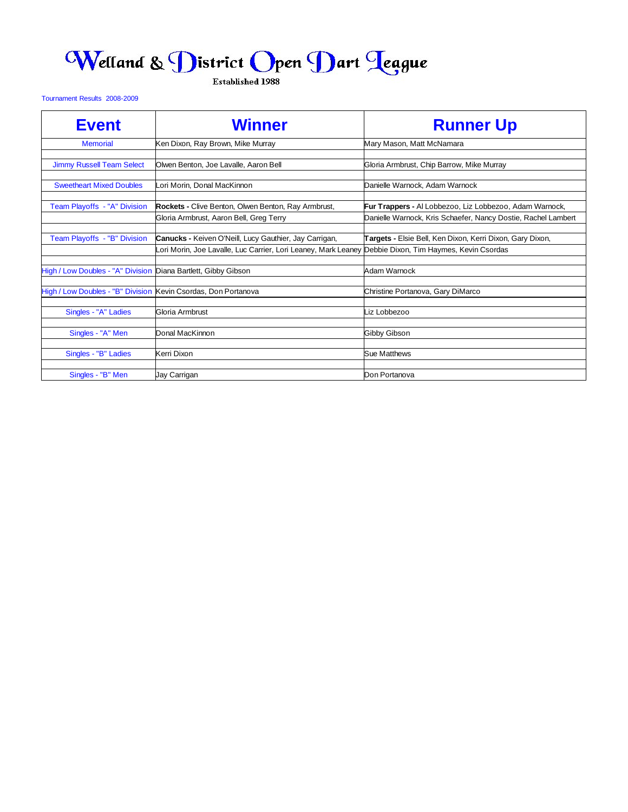## Welland & District Open Dart Teague

Established 1988

Tournament Results 2008-2009

| <b>Event</b>                                                   | <b>Winner</b>                                                 | <b>Runner Up</b>                                               |
|----------------------------------------------------------------|---------------------------------------------------------------|----------------------------------------------------------------|
| <b>Memorial</b>                                                | Ken Dixon, Ray Brown, Mike Murray                             | Mary Mason, Matt McNamara                                      |
| <b>Jimmy Russell Team Select</b>                               | Olwen Benton, Joe Lavalle, Aaron Bell                         | Gloria Armbrust, Chip Barrow, Mike Murray                      |
|                                                                |                                                               |                                                                |
| <b>Sweetheart Mixed Doubles</b>                                | Lori Morin, Donal MacKinnon                                   | Danielle Warnock, Adam Warnock                                 |
| Team Playoffs - "A" Division                                   | <b>Rockets - Clive Benton, Olwen Benton, Ray Armbrust,</b>    | <b>Fur Trappers -</b> Al Lobbezoo, Liz Lobbezoo, Adam Warnock, |
|                                                                | Gloria Armbrust, Aaron Bell, Greg Terry                       | Danielle Warnock, Kris Schaefer, Nancy Dostie, Rachel Lambert  |
|                                                                |                                                               |                                                                |
| Team Playoffs - "B" Division                                   | Canucks - Keiven O'Neill, Lucy Gauthier, Jay Carrigan,        | Targets - Elsie Bell, Ken Dixon, Kerri Dixon, Gary Dixon,      |
|                                                                | ori Morin, Joe Lavalle, Luc Carrier, Lori Leaney, Mark Leaney | Debbie Dixon, Tim Haymes, Kevin Csordas                        |
|                                                                |                                                               |                                                                |
| High / Low Doubles - "A" Division Diana Bartlett, Gibby Gibson |                                                               | Adam Warnock                                                   |
| High / Low Doubles - "B" Division Kevin Csordas, Don Portanova |                                                               |                                                                |
|                                                                |                                                               | Christine Portanova, Gary DiMarco                              |
| Singles - "A" Ladies                                           | Gloria Armbrust                                               | Liz Lobbezoo                                                   |
|                                                                |                                                               |                                                                |
| Singles - "A" Men                                              | Donal MacKinnon                                               | Gibby Gibson                                                   |
| Singles - "B" Ladies                                           | Kerri Dixon                                                   | Sue Matthews                                                   |
|                                                                |                                                               |                                                                |
| Singles - "B" Men                                              | Jay Carrigan                                                  | Don Portanova                                                  |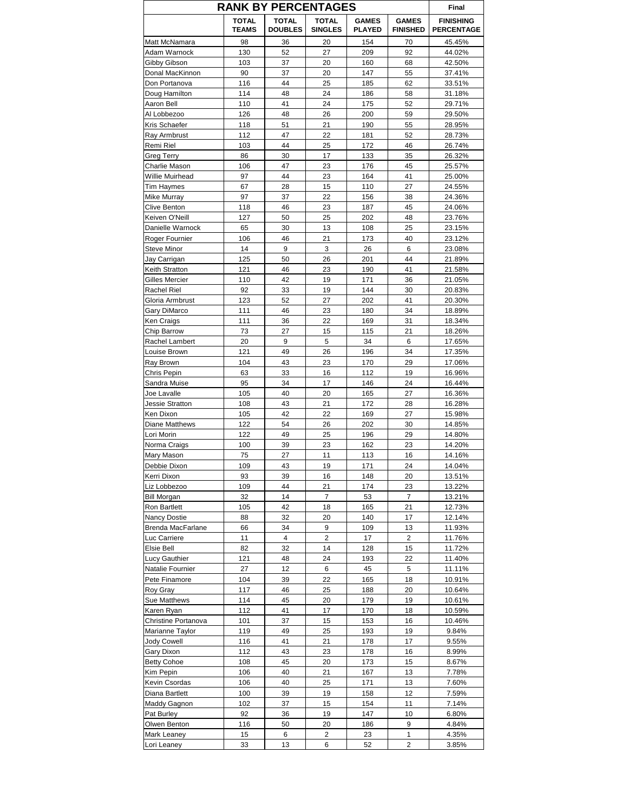| <b>RANK BY PERCENTAGES</b>       |                              |                                |                                |                               |                                 |                                       |
|----------------------------------|------------------------------|--------------------------------|--------------------------------|-------------------------------|---------------------------------|---------------------------------------|
|                                  | <b>TOTAL</b><br><b>TEAMS</b> | <b>TOTAL</b><br><b>DOUBLES</b> | <b>TOTAL</b><br><b>SINGLES</b> | <b>GAMES</b><br><b>PLAYED</b> | <b>GAMES</b><br><b>FINISHED</b> | <b>FINISHING</b><br><b>PERCENTAGE</b> |
| Matt McNamara                    | 98                           | 36                             | 20                             | 154                           | 70                              | 45.45%                                |
| Adam Warnock                     | 130                          | 52                             | 27                             | 209                           | 92                              | 44.02%                                |
| Gibby Gibson                     | 103                          | 37                             | 20                             | 160                           | 68                              | 42.50%                                |
| Donal MacKinnon                  | 90                           | 37                             | 20                             | 147                           | 55                              | 37.41%                                |
| Don Portanova                    | 116                          | 44                             | 25                             | 185                           | 62                              | 33.51%                                |
| Doug Hamilton                    | 114                          | 48                             | 24                             | 186                           | 58                              | 31.18%                                |
| Aaron Bell                       | 110                          | 41                             | 24                             | 175                           | 52                              | 29.71%                                |
| Al Lobbezoo<br>Kris Schaefer     | 126<br>118                   | 48<br>51                       | 26<br>21                       | 200<br>190                    | 59<br>55                        | 29.50%<br>28.95%                      |
| Ray Armbrust                     | 112                          | 47                             | 22                             | 181                           | 52                              | 28.73%                                |
| Remi Riel                        | 103                          | 44                             | 25                             | 172                           | 46                              | 26.74%                                |
| Greg Terry                       | 86                           | 30                             | 17                             | 133                           | 35                              | 26.32%                                |
| Charlie Mason                    | 106                          | 47                             | 23                             | 176                           | 45                              | 25.57%                                |
| Willie Muirhead                  | 97                           | 44                             | 23                             | 164                           | 41                              | 25.00%                                |
| Tim Haymes                       | 67                           | 28                             | 15                             | 110                           | 27                              | 24.55%                                |
| Mike Murray                      | 97                           | 37                             | 22                             | 156                           | 38                              | 24.36%                                |
| Clive Benton                     | 118                          | 46                             | 23                             | 187                           | 45                              | 24.06%                                |
| Keiven O'Neill                   | 127                          | 50                             | 25                             | 202                           | 48                              | 23.76%                                |
| Danielle Warnock                 | 65                           | 30                             | 13                             | 108                           | 25                              | 23.15%                                |
| Roger Fournier                   | 106                          | 46                             | 21                             | 173                           | 40                              | 23.12%                                |
| <b>Steve Minor</b>               | 14                           | 9                              | 3                              | 26                            | 6                               | 23.08%                                |
| Jay Carrigan                     | 125                          | 50                             | 26                             | 201                           | 44                              | 21.89%                                |
| Keith Stratton                   | 121                          | 46                             | 23                             | 190                           | 41                              | 21.58%                                |
| Gilles Mercier                   | 110                          | 42                             | 19                             | 171                           | 36                              | 21.05%                                |
| <b>Rachel Riel</b>               | 92                           | 33                             | 19                             | 144                           | 30                              | 20.83%                                |
| Gloria Armbrust                  | 123                          | 52                             | 27                             | 202                           | 41                              | 20.30%                                |
| Gary DiMarco                     | 111                          | 46                             | 23                             | 180                           | 34                              | 18.89%                                |
| Ken Craigs                       | 111                          | 36                             | 22                             | 169                           | 31                              | 18.34%                                |
| Chip Barrow                      | 73                           | 27                             | 15                             | 115                           | 21                              | 18.26%                                |
| Rachel Lambert                   | 20                           | 9                              | 5                              | 34                            | 6                               | 17.65%                                |
| Louise Brown                     | 121                          | 49                             | 26                             | 196                           | 34                              | 17.35%                                |
| Ray Brown                        | 104                          | 43                             | 23                             | 170                           | 29                              | 17.06%                                |
| Chris Pepin                      | 63<br>95                     | 33<br>34                       | 16<br>17                       | 112<br>146                    | 19<br>24                        | 16.96%                                |
| Sandra Muise<br>Joe Lavalle      | 105                          | 40                             | 20                             | 165                           | 27                              | 16.44%<br>16.36%                      |
| Jessie Stratton                  | 108                          | 43                             | 21                             | 172                           | 28                              | 16.28%                                |
| Ken Dixon                        | 105                          | 42                             | 22                             | 169                           | 27                              | 15.98%                                |
| <b>Diane Matthews</b>            | 122                          | 54                             | 26                             | 202                           | 30                              | 14.85%                                |
| Lori Morin                       | 122                          | 49                             | 25                             | 196                           | 29                              | 14.80%                                |
| Norma Craigs                     | 100                          | 39                             | 23                             | 162                           | 23                              | 14.20%                                |
| Mary Mason                       | 75                           | 27                             | 11                             | 113                           | 16                              | 14.16%                                |
| Debbie Dixon                     | 109                          | 43                             | 19                             | 171                           | 24                              | 14.04%                                |
| Kerri Dixon                      | 93                           | 39                             | 16                             | 148                           | 20                              | 13.51%                                |
| Liz Lobbezoo                     | 109                          | 44                             | 21                             | 174                           | 23                              | 13.22%                                |
| <b>Bill Morgan</b>               | 32                           | 14                             | 7                              | 53                            | 7                               | 13.21%                                |
| Ron Bartlett                     | 105                          | 42                             | 18                             | 165                           | 21                              | 12.73%                                |
| Nancy Dostie                     | 88                           | 32                             | 20                             | 140                           | 17                              | 12.14%                                |
| Brenda MacFarlane                | 66                           | 34                             | 9                              | 109                           | 13                              | 11.93%                                |
| Luc Carriere                     | 11                           | 4                              | 2                              | 17                            | 2                               | 11.76%                                |
| Elsie Bell                       | 82                           | 32                             | 14                             | 128                           | 15                              | 11.72%                                |
| <b>Lucy Gauthier</b>             | 121                          | 48                             | 24                             | 193                           | 22                              | 11.40%                                |
| Natalie Fournier                 | 27                           | 12                             | 6                              | 45                            | 5                               | 11.11%                                |
| Pete Finamore                    | 104                          | 39                             | 22                             | 165                           | 18                              | 10.91%                                |
| Roy Gray                         | 117                          | 46                             | 25                             | 188                           | 20                              | 10.64%                                |
| Sue Matthews                     | 114                          | 45                             | 20                             | 179                           | 19                              | 10.61%                                |
| Karen Ryan                       | 112                          | 41                             | 17                             | 170                           | 18                              | 10.59%                                |
| Christine Portanova              | 101                          | 37                             | 15                             | 153                           | 16                              | 10.46%                                |
| Marianne Taylor                  | 119                          | 49<br>41                       | 25                             | 193                           | 19<br>17                        | 9.84%                                 |
| <b>Jody Cowell</b><br>Gary Dixon | 116<br>112                   | 43                             | 21<br>23                       | 178<br>178                    | 16                              | 9.55%<br>8.99%                        |
| <b>Betty Cohoe</b>               | 108                          | 45                             | 20                             | 173                           | 15                              | 8.67%                                 |
| Kim Pepin                        | 106                          | 40                             | 21                             | 167                           | 13                              | 7.78%                                 |
| Kevin Csordas                    | 106                          | 40                             | 25                             | 171                           | 13                              | 7.60%                                 |
| Diana Bartlett                   | 100                          | 39                             | 19                             | 158                           | 12                              | 7.59%                                 |
| Maddy Gagnon                     | 102                          | 37                             | 15                             | 154                           | 11                              | 7.14%                                 |
| Pat Burley                       | 92                           | 36                             | 19                             | 147                           | 10                              | 6.80%                                 |
| Olwen Benton                     | 116                          | 50                             | 20                             | 186                           | 9                               | 4.84%                                 |
| Mark Leaney                      | 15                           | 6                              | 2                              | 23                            | 1                               | 4.35%                                 |
| Lori Leaney                      | 33                           | 13                             | 6                              | 52                            | 2                               | 3.85%                                 |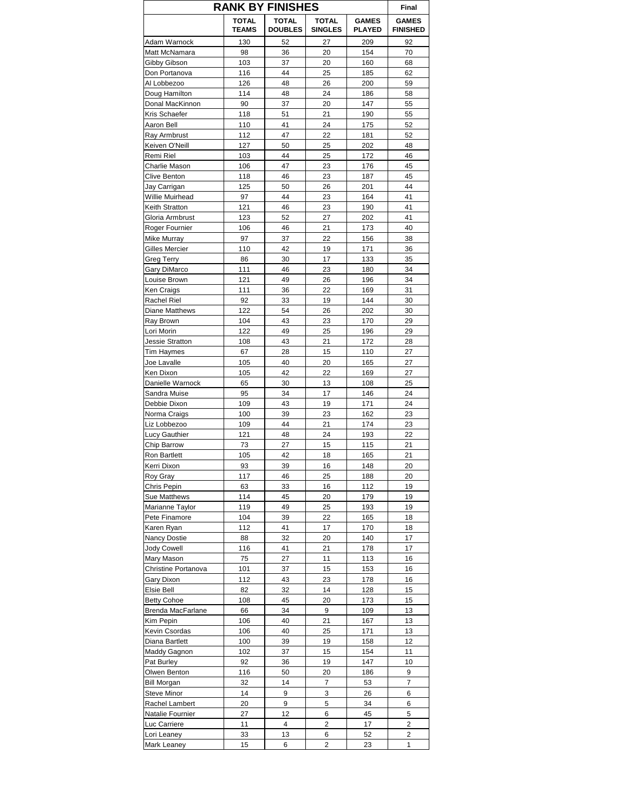|                              | <b>RANK BY FINISHES</b>      |                                |                         |                               |                                 |  |  |
|------------------------------|------------------------------|--------------------------------|-------------------------|-------------------------------|---------------------------------|--|--|
|                              | <b>TOTAL</b><br><b>TEAMS</b> | <b>TOTAL</b><br><b>DOUBLES</b> | TOTAL<br><b>SINGLES</b> | <b>GAMES</b><br><b>PLAYED</b> | <b>GAMES</b><br><b>FINISHED</b> |  |  |
| Adam Warnock                 | 130                          | 52                             | 27                      | 209                           | 92                              |  |  |
| Matt McNamara                | 98                           | 36                             | 20                      | 154                           | 70                              |  |  |
| Gibby Gibson                 | 103                          | 37                             | 20                      | 160                           | 68                              |  |  |
| Don Portanova                | 116                          | 44                             | 25                      | 185                           | 62                              |  |  |
| Al Lobbezoo<br>Doug Hamilton | 126<br>114                   | 48<br>48                       | 26<br>24                | 200<br>186                    | 59<br>58                        |  |  |
| Donal MacKinnon              | 90                           | 37                             | 20                      | 147                           | 55                              |  |  |
| Kris Schaefer                | 118                          | 51                             | 21                      | 190                           | 55                              |  |  |
| Aaron Bell                   | 110                          | 41                             | 24                      | 175                           | 52                              |  |  |
| Ray Armbrust                 | 112                          | 47                             | 22                      | 181                           | 52                              |  |  |
| Keiven O'Neill               | 127                          | 50                             | 25                      | 202                           | 48                              |  |  |
| Remi Riel                    | 103                          | 44                             | 25                      | 172                           | 46                              |  |  |
| Charlie Mason                | 106                          | 47                             | 23                      | 176                           | 45                              |  |  |
| Clive Benton                 | 118                          | 46                             | 23                      | 187                           | 45                              |  |  |
| Jay Carrigan                 | 125                          | 50                             | 26                      | 201                           | 44                              |  |  |
| Willie Muirhead              | 97                           | 44                             | 23                      | 164                           | 41                              |  |  |
| Keith Stratton               | 121                          | 46                             | 23                      | 190                           | 41                              |  |  |
| Gloria Armbrust              | 123                          | 52                             | 27                      | 202                           | 41                              |  |  |
| Roger Fournier               | 106                          | 46                             | 21                      | 173                           | 40                              |  |  |
| Mike Murray                  | 97<br>110                    | 37<br>42                       | 22<br>19                | 156<br>171                    | 38<br>36                        |  |  |
| Gilles Mercier<br>Greg Terry | 86                           | 30                             | 17                      | 133                           | 35                              |  |  |
| Gary DiMarco                 | 111                          | 46                             | 23                      | 180                           | 34                              |  |  |
| Louise Brown                 | 121                          | 49                             | 26                      | 196                           | 34                              |  |  |
| Ken Craigs                   | 111                          | 36                             | 22                      | 169                           | 31                              |  |  |
| Rachel Riel                  | 92                           | 33                             | 19                      | 144                           | 30                              |  |  |
| <b>Diane Matthews</b>        | 122                          | 54                             | 26                      | 202                           | 30                              |  |  |
| Ray Brown                    | 104                          | 43                             | 23                      | 170                           | 29                              |  |  |
| Lori Morin                   | 122                          | 49                             | 25                      | 196                           | 29                              |  |  |
| <b>Jessie Stratton</b>       | 108                          | 43                             | 21                      | 172                           | 28                              |  |  |
| Tim Haymes                   | 67                           | 28                             | 15                      | 110                           | 27                              |  |  |
| Joe Lavalle                  | 105                          | 40                             | 20                      | 165                           | 27                              |  |  |
| Ken Dixon                    | 105                          | 42                             | 22                      | 169                           | 27                              |  |  |
| Danielle Warnock             | 65                           | 30                             | 13                      | 108                           | 25                              |  |  |
| Sandra Muise                 | 95                           | 34                             | 17                      | 146                           | 24                              |  |  |
| Debbie Dixon                 | 109                          | 43                             | 19                      | 171                           | 24<br>23                        |  |  |
| Norma Craigs<br>Liz Lobbezoo | 100<br>109                   | 39<br>44                       | 23<br>21                | 162<br>174                    | 23                              |  |  |
| Lucy Gauthier                | 121                          | 48                             | 24                      | 193                           | 22                              |  |  |
| Chip Barrow                  | 73                           | 27                             | 15                      | 115                           | 21                              |  |  |
| Ron Bartlett                 | 105                          | 42                             | 18                      | 165                           | 21                              |  |  |
| Kerri Dixon                  | 93                           | 39                             | 16                      | 148                           | 20                              |  |  |
| Roy Gray                     | 117                          | 46                             | 25                      | 188                           | 20                              |  |  |
| Chris Pepin                  | 63                           | 33                             | 16                      | 112                           | 19                              |  |  |
| Sue Matthews                 | 114                          | 45                             | 20                      | 179                           | 19                              |  |  |
| Marianne Taylor              | 119                          | 49                             | 25                      | 193                           | 19                              |  |  |
| Pete Finamore                | 104                          | 39                             | 22                      | 165                           | 18                              |  |  |
| Karen Ryan                   | 112                          | 41                             | 17                      | 170                           | 18                              |  |  |
| Nancy Dostie                 | 88                           | 32                             | 20                      | 140                           | 17                              |  |  |
| Jody Cowell<br>Mary Mason    | 116<br>75                    | 41<br>27                       | 21<br>11                | 178<br>113                    | 17<br>16                        |  |  |
| Christine Portanova          | 101                          | 37                             | 15                      | 153                           | 16                              |  |  |
| Gary Dixon                   | 112                          | 43                             | 23                      | 178                           | 16                              |  |  |
| Elsie Bell                   | 82                           | 32                             | 14                      | 128                           | 15                              |  |  |
| <b>Betty Cohoe</b>           | 108                          | 45                             | 20                      | 173                           | 15                              |  |  |
| Brenda MacFarlane            | 66                           | 34                             | 9                       | 109                           | 13                              |  |  |
| Kim Pepin                    | 106                          | 40                             | 21                      | 167                           | 13                              |  |  |
| Kevin Csordas                | 106                          | 40                             | 25                      | 171                           | 13                              |  |  |
| Diana Bartlett               | 100                          | 39                             | 19                      | 158                           | 12                              |  |  |
| Maddy Gagnon                 | 102                          | 37                             | 15                      | 154                           | 11                              |  |  |
| Pat Burley                   | 92                           | 36                             | 19                      | 147                           | 10                              |  |  |
| Olwen Benton                 | 116                          | 50                             | 20                      | 186                           | 9                               |  |  |
| <b>Bill Morgan</b>           | 32                           | 14                             | 7                       | 53                            | 7                               |  |  |
| Steve Minor                  | 14                           | 9                              | 3                       | 26                            | 6                               |  |  |
| Rachel Lambert               | 20                           | 9                              | $\mathbf 5$             | 34                            | 6                               |  |  |
| Natalie Fournier             | 27                           | 12<br>4                        | 6                       | 45                            | 5                               |  |  |
| Luc Carriere<br>Lori Leaney  | 11<br>33                     | 13                             | 2<br>6                  | 17<br>52                      | 2<br>2                          |  |  |
| Mark Leaney                  | 15                           | 6                              | 2                       | 23                            | 1                               |  |  |
|                              |                              |                                |                         |                               |                                 |  |  |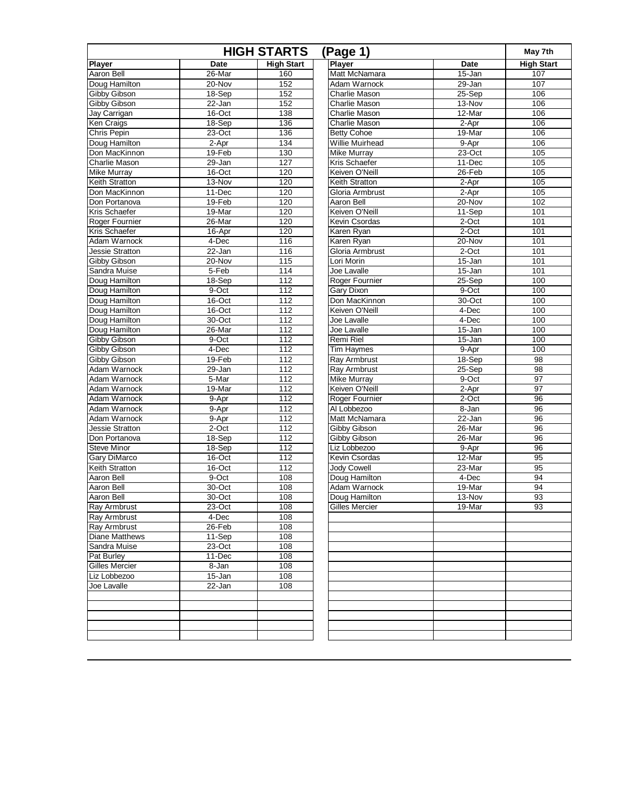| <b>HIGH STARTS</b><br>(Page 1) |            |                   |                      |             | May 7th           |
|--------------------------------|------------|-------------------|----------------------|-------------|-------------------|
| <b>Player</b>                  | Date       | <b>High Start</b> | <b>Player</b>        | <b>Date</b> | <b>High Start</b> |
| Aaron Bell                     | 26-Mar     | 160               | Matt McNamara        | 15-Jan      | 107               |
| Doug Hamilton                  | $20 - Nov$ | 152               | Adam Warnock         | $29 - Jan$  | 107               |
| Gibby Gibson                   | 18-Sep     | 152               | Charlie Mason        | 25-Sep      | 106               |
| Gibby Gibson                   | 22-Jan     | 152               | <b>Charlie Mason</b> | 13-Nov      | 106               |
| Jay Carrigan                   | $16$ -Oct  | 138               | Charlie Mason        | 12-Mar      | 106               |
| Ken Craigs                     | 18-Sep     | 136               | Charlie Mason        | $2-Apr$     | 106               |
| Chris Pepin                    | $23-Oct$   | 136               | <b>Betty Cohoe</b>   | 19-Mar      | 106               |
| Doug Hamilton                  | 2-Apr      | 134               | Willie Muirhead      | 9-Apr       | 106               |
| Don MacKinnon                  | $19-Feb$   | 130               | <b>Mike Murray</b>   | $23-Oct$    | 105               |
| Charlie Mason                  | 29-Jan     | 127               | Kris Schaefer        | 11-Dec      | 105               |
| <b>Mike Murray</b>             | 16-Oct     | 120               | Keiven O'Neill       | 26-Feb      | 105               |
| Keith Stratton                 | $13-Nov$   | 120               | Keith Stratton       | $2-Apr$     | 105               |
| Don MacKinnon                  | 11-Dec     | 120               | Gloria Armbrust      | 2-Apr       | 105               |
| Don Portanova                  | $19-Feb$   | 120               | Aaron Bell           | 20-Nov      | 102               |
| <b>Kris Schaefer</b>           | 19-Mar     | 120               | Keiven O'Neill       | 11-Sep      | 101               |
| Roger Fournier                 | 26-Mar     | 120               | Kevin Csordas        | 2-Oct       | 101               |
| Kris Schaefer                  | 16-Apr     | 120               | Karen Ryan           | $2$ -Oct    | 101               |
| Adam Warnock                   | 4-Dec      | 116               | Karen Ryan           | $20 - Nov$  | 101               |
| <b>Jessie Stratton</b>         | 22-Jan     | 116               | Gloria Armbrust      | $2$ -Oct    | 101               |
| Gibby Gibson                   | 20-Nov     | 115               | Lori Morin           | 15-Jan      | 101               |
| Sandra Muise                   | 5-Feb      | 114               | Joe Lavalle          | 15-Jan      | 101               |
| Doug Hamilton                  | $18-Sep$   | 112               | Roger Fournier       | $25-Sep$    | 100               |
| Doug Hamilton                  | 9-Oct      | 112               | Gary Dixon           | 9-Oct       | 100               |
| Doug Hamilton                  | 16-Oct     | 112               | Don MacKinnon        | $30 - Oct$  | 100               |
| Doug Hamilton                  | 16-Oct     | 112               | Keiven O'Neill       | 4-Dec       | 100               |
| Doug Hamilton                  | 30-Oct     | 112               | Joe Lavalle          | 4-Dec       | 100               |
| Doug Hamilton                  | 26-Mar     | 112               | Joe Lavalle          | $15 - Jan$  | 100               |
| Gibby Gibson                   | 9-Oct      | 112               | Remi Riel            | $15 - Jan$  | 100               |
| Gibby Gibson                   | 4-Dec      | 112               | Tim Haymes           | 9-Apr       | 100               |
| Gibby Gibson                   | 19-Feb     | 112               | Ray Armbrust         | 18-Sep      | $\overline{98}$   |
| Adam Warnock                   | 29-Jan     | 112               | Ray Armbrust         | 25-Sep      | 98                |
| Adam Warnock                   | 5-Mar      | 112               | <b>Mike Murray</b>   | $9-Oct$     | 97                |
| Adam Warnock                   | 19-Mar     | 112               | Keiven O'Neill       | 2-Apr       | 97                |
| Adam Warnock                   | 9-Apr      | 112               | Roger Fournier       | $2$ -Oct    | 96                |
| Adam Warnock                   | $9 -$ Apr  | 112               | Al Lobbezoo          | 8-Jan       | 96                |
| Adam Warnock                   | 9-Apr      | 112               | Matt McNamara        | $22 - Jan$  | 96                |
| Jessie Stratton                | $2$ -Oct   | 112               | Gibby Gibson         | 26-Mar      | 96                |
| Don Portanova                  | 18-Sep     | 112               | Gibby Gibson         | 26-Mar      | 96                |
| <b>Steve Minor</b>             | 18-Sep     | 112               | Liz Lobbezoo         | 9-Apr       | 96                |
| Gary DiMarco                   | 16-Oct     | 112               | Kevin Csordas        | 12-Mar      | 95                |
| Keith Stratton                 | 16-Oct     | 112               | <b>Jody Cowell</b>   | 23-Mar      | 95                |
| Aaron Bell                     | $9-Oct$    | 108               | Doug Hamilton        | 4-Dec       | 94                |
| Aaron Bell                     | 30-Oct     | 108               | Adam Warnock         | 19-Mar      | 94                |
| Aaron Bell                     | $30 - Oct$ | 108               | Doug Hamilton        | 13-Nov      | 93                |
| Ray Armbrust                   | 23-Oct     | 108               | Gilles Mercier       | 19-Mar      | 93                |
| Ray Armbrust                   | $4$ -Dec   | 108               |                      |             |                   |
| <b>Ray Armbrust</b>            | $26 - Feb$ | 108               |                      |             |                   |
| <b>Diane Matthews</b>          | 11-Sep     | 108               |                      |             |                   |
| Sandra Muise                   | 23-Oct     | 108               |                      |             |                   |
| Pat Burley                     | 11-Dec     | 108               |                      |             |                   |
| <b>Gilles Mercier</b>          | 8-Jan      | 108               |                      |             |                   |
| Liz Lobbezoo                   | $15 - Jan$ | 108               |                      |             |                   |
| Joe Lavalle                    | 22-Jan     | 108               |                      |             |                   |
|                                |            |                   |                      |             |                   |
|                                |            |                   |                      |             |                   |
|                                |            |                   |                      |             |                   |
|                                |            |                   |                      |             |                   |
|                                |            |                   |                      |             |                   |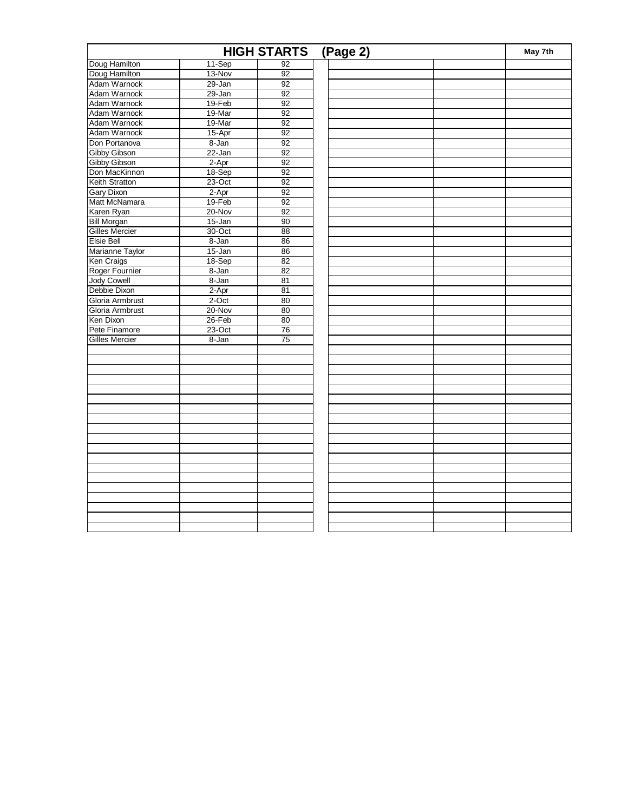|                       |            | <b>HIGH STARTS</b> | (Page 2) | May 7th |
|-----------------------|------------|--------------------|----------|---------|
| Doug Hamilton         | 11-Sep     | 92                 |          |         |
| Doug Hamilton         | $13-Nov$   | 92                 |          |         |
| Adam Warnock          | $29 - Jan$ | 92                 |          |         |
| Adam Warnock          | $29 - Jan$ | 92                 |          |         |
| Adam Warnock          | 19-Feb     | 92                 |          |         |
| Adam Warnock          | 19-Mar     | $\overline{92}$    |          |         |
| Adam Warnock          | 19-Mar     | 92                 |          |         |
| Adam Warnock          | 15-Apr     | 92                 |          |         |
| Don Portanova         | 8-Jan      | 92                 |          |         |
| <b>Gibby Gibson</b>   | $22 - Jan$ | 92                 |          |         |
| <b>Gibby Gibson</b>   | $2-Apr$    | 92                 |          |         |
| Don MacKinnon         | 18-Sep     | 92                 |          |         |
| Keith Stratton        | $23-Oct$   | 92                 |          |         |
| <b>Gary Dixon</b>     | $2-Apr$    | 92                 |          |         |
| Matt McNamara         | $19-Feb$   | 92                 |          |         |
| Karen Ryan            | 20-Nov     | 92                 |          |         |
| <b>Bill Morgan</b>    | $15 - Jan$ | 90                 |          |         |
| <b>Gilles Mercier</b> | 30-Oct     | 88                 |          |         |
| <b>Elsie Bell</b>     | 8-Jan      | 86                 |          |         |
| Marianne Taylor       | 15-Jan     | 86                 |          |         |
| Ken Craigs            | 18-Sep     | 82                 |          |         |
| Roger Fournier        | 8-Jan      | 82                 |          |         |
| Jody Cowell           | 8-Jan      | 81                 |          |         |
| Debbie Dixon          | $2-Apr$    | 81                 |          |         |
| Gloria Armbrust       | $2$ -Oct   | 80                 |          |         |
| Gloria Armbrust       | 20-Nov     | 80                 |          |         |
| Ken Dixon             | $26 - Feb$ | 80                 |          |         |
| Pete Finamore         | 23-Oct     | 76                 |          |         |
| <b>Gilles Mercier</b> | 8-Jan      | 75                 |          |         |
|                       |            |                    |          |         |
|                       |            |                    |          |         |
|                       |            |                    |          |         |
|                       |            |                    |          |         |
|                       |            |                    |          |         |
|                       |            |                    |          |         |
|                       |            |                    |          |         |
|                       |            |                    |          |         |
|                       |            |                    |          |         |
|                       |            |                    |          |         |
|                       |            |                    |          |         |
|                       |            |                    |          |         |
|                       |            |                    |          |         |
|                       |            |                    |          |         |
|                       |            |                    |          |         |
|                       |            |                    |          |         |
|                       |            |                    |          |         |
|                       |            |                    |          |         |
|                       |            |                    |          |         |
|                       |            |                    |          |         |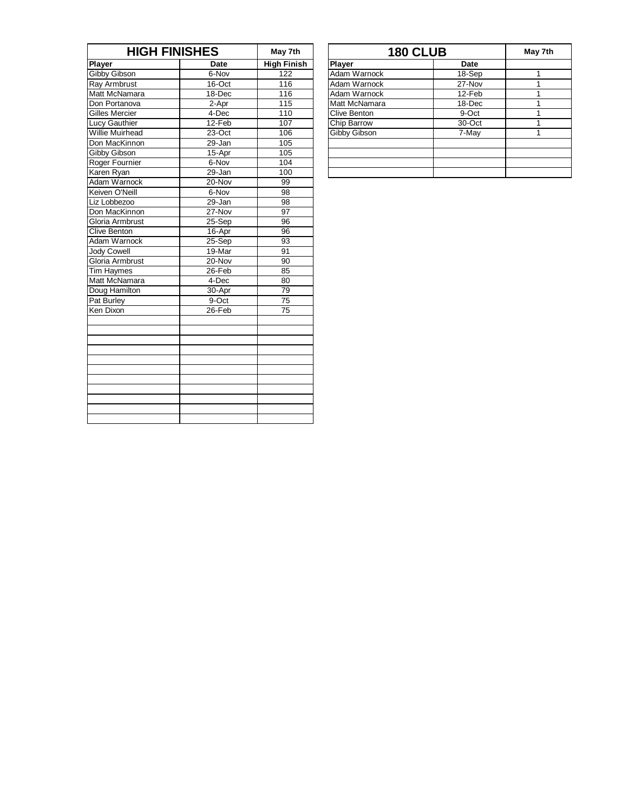| <b>HIGH FINISHES</b>   |             | May 7th            |               | <b>180 CLUB</b> | May |
|------------------------|-------------|--------------------|---------------|-----------------|-----|
| <b>Player</b>          | <b>Date</b> | <b>High Finish</b> | Player        | <b>Date</b>     |     |
| Gibby Gibson           | 6-Nov       | 122                | Adam Warnock  | 18-Sep          | 1   |
| <b>Ray Armbrust</b>    | $16$ -Oct   | 116                | Adam Warnock  | $27 - Nov$      | 1   |
| Matt McNamara          | 18-Dec      | 116                | Adam Warnock  | 12-Feb          | 1   |
| Don Portanova          | 2-Apr       | 115                | Matt McNamara | 18-Dec          | 1   |
| <b>Gilles Mercier</b>  | 4-Dec       | 110                | Clive Benton  | $9-Oct$         | 1   |
| Lucy Gauthier          | 12-Feb      | 107                | Chip Barrow   | 30-Oct          | 1   |
| <b>Willie Muirhead</b> | 23-Oct      | 106                | Gibby Gibson  | 7-May           | 1   |
| Don MacKinnon          | 29-Jan      | 105                |               |                 |     |
| <b>Gibby Gibson</b>    | 15-Apr      | 105                |               |                 |     |
| Roger Fournier         | 6-Nov       | 104                |               |                 |     |
| Karen Ryan             | 29-Jan      | 100                |               |                 |     |
| Adam Warnock           | 20-Nov      | 99                 |               |                 |     |
| Keiven O'Neill         | 6-Nov       | 98                 |               |                 |     |
| Liz Lobbezoo           | 29-Jan      | 98                 |               |                 |     |
| Don MacKinnon          | 27-Nov      | 97                 |               |                 |     |
| Gloria Armbrust        | 25-Sep      | 96                 |               |                 |     |
| <b>Clive Benton</b>    | 16-Apr      | $\overline{96}$    |               |                 |     |
| Adam Warnock           | 25-Sep      | $\overline{93}$    |               |                 |     |
| <b>Jody Cowell</b>     | 19-Mar      | 91                 |               |                 |     |
| Gloria Armbrust        | 20-Nov      | 90                 |               |                 |     |
| Tim Haymes             | 26-Feb      | 85                 |               |                 |     |
| Matt McNamara          | 4-Dec       | 80                 |               |                 |     |
| Doug Hamilton          | 30-Apr      | 79                 |               |                 |     |
| Pat Burley             | 9-Oct       | 75                 |               |                 |     |
| Ken Dixon              | 26-Feb      | 75                 |               |                 |     |
|                        |             |                    |               |                 |     |
|                        |             |                    |               |                 |     |
|                        |             |                    |               |                 |     |
|                        |             |                    |               |                 |     |
|                        |             |                    |               |                 |     |
|                        |             |                    |               |                 |     |
|                        |             |                    |               |                 |     |
|                        |             |                    |               |                 |     |
|                        |             |                    |               |                 |     |
|                        |             |                    |               |                 |     |
|                        |             |                    |               |                 |     |

| <b>HIGH FINISHES</b> |                    |               | May 7th |                 |
|----------------------|--------------------|---------------|---------|-----------------|
| Date                 | <b>High Finish</b> | <b>Player</b> | Date    |                 |
| 6-Nov                | 122                | Adam Warnock  | 18-Sep  |                 |
| $16$ -Oct            | 116                | Adam Warnock  | 27-Nov  |                 |
| 18-Dec               | 116                | Adam Warnock  | 12-Feb  |                 |
| 2-Apr                | 115                | Matt McNamara | 18-Dec  |                 |
| 4-Dec                | 110                | Clive Benton  | 9-Oct   |                 |
| 12-Feb               | 107                | Chip Barrow   | 30-Oct  |                 |
| $23-Oct$             | 106                | Gibby Gibson  | 7-May   |                 |
| 29-Jan               | 105                |               |         |                 |
| 15-Apr               | 105                |               |         |                 |
| 6-Nov                | 104                |               |         |                 |
| 29-Jan               | 100                |               |         |                 |
|                      |                    | May 7th       |         | <b>180 CLUB</b> |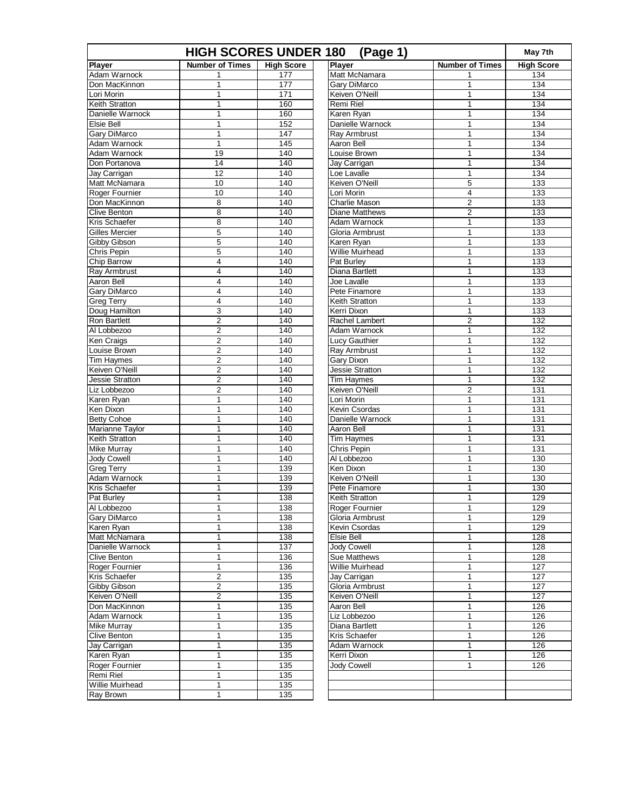| <b>HIGH SCORES UNDER 180</b><br>(Page 1) |                         |                   |                    |                        |                         | May 7th           |
|------------------------------------------|-------------------------|-------------------|--------------------|------------------------|-------------------------|-------------------|
| <b>Player</b>                            | <b>Number of Times</b>  | <b>High Score</b> | Player             |                        | <b>Number of Times</b>  | <b>High Score</b> |
| Adam Warnock                             | 1                       | 177               |                    | Matt McNamara          | 1                       | 134               |
| Don MacKinnon                            | 1                       | 177               |                    | <b>Gary DiMarco</b>    | 1                       | 134               |
| Lori Morin                               | $\mathbf{1}$            | 171               |                    | Keiven O'Neill         | 1                       | 134               |
| Keith Stratton                           | 1                       | 160               | <b>Remi Riel</b>   |                        | 1                       | 134               |
| Danielle Warnock                         | 1                       | 160               | Karen Ryan         |                        | 1                       | 134               |
| Elsie Bell                               | $\mathbf{1}$            | 152               |                    | Danielle Warnock       | 1                       | 134               |
| <b>Gary DiMarco</b>                      | $\mathbf 1$             | 147               |                    | Ray Armbrust           | 1                       | 134               |
| Adam Warnock                             | $\mathbf{1}$            | 145               | Aaron Bell         |                        | 1                       | 134               |
| Adam Warnock                             | 19                      | 140               |                    | Louise Brown           | 1                       | 134               |
| Don Portanova                            | 14                      | 140               |                    | Jay Carrigan           | 1                       | 134               |
| Jay Carrigan                             | 12                      | 140               | Loe Lavalle        |                        | 1                       | 134               |
| Matt McNamara                            | 10                      | 140               |                    | Keiven O'Neill         | 5                       | 133               |
| Roger Fournier                           | 10                      | 140               | Lori Morin         |                        | $\overline{\mathbf{4}}$ | $\frac{1}{33}$    |
| Don MacKinnon                            | 8                       | 140               |                    | <b>Charlie Mason</b>   | $\overline{\mathbf{c}}$ | 133               |
| <b>Clive Benton</b>                      | 8                       | 140               |                    | <b>Diane Matthews</b>  | $\overline{2}$          | 133               |
| Kris Schaefer                            | 8                       | 140               |                    | Adam Warnock           | 1                       | 133               |
| <b>Gilles Mercier</b>                    | 5                       | 140               |                    | Gloria Armbrust        | 1                       | 133               |
| Gibby Gibson                             | 5                       | 140               | Karen Ryan         |                        | 1                       | $\frac{1}{33}$    |
| Chris Pepin                              | 5                       | 140               |                    | <b>Willie Muirhead</b> | 1                       | 133               |
| Chip Barrow                              | 4                       | 140               | Pat Burley         |                        | 1                       | 133               |
| Ray Armbrust                             | 4                       | 140               |                    | Diana Bartlett         | 1                       | 133               |
| Aaron Bell                               | 4                       | 140               | Joe Lavalle        |                        | 1                       | 133               |
| Gary DiMarco                             | 4                       | 140               |                    | Pete Finamore          | 1                       | $\frac{1}{33}$    |
| <b>Greg Terry</b>                        | 4                       | 140               |                    | Keith Stratton         | 1                       | 133               |
| Doug Hamilton                            | 3                       | 140               | Kerri Dixon        |                        | 1                       | 133               |
| Ron Bartlett                             | $\mathbf 2$             | 140               |                    | <b>Rachel Lambert</b>  | 2                       | 132               |
| Al Lobbezoo                              | $\overline{2}$          | 140               |                    | Adam Warnock           | 1                       | 132               |
| Ken Craigs                               | $\overline{2}$          | 140               |                    | Lucy Gauthier          | 1                       | $\frac{1}{132}$   |
| Louise Brown                             | $\overline{\mathbf{c}}$ | 140               |                    | Ray Armbrust           | 1                       | 132               |
| <b>Tim Haymes</b>                        | $\overline{\mathbf{c}}$ | 140               | Gary Dixon         |                        | 1                       | 132               |
| Keiven O'Neill                           | $\overline{2}$          | 140               |                    | <b>Jessie Stratton</b> | 1                       | 132               |
| Jessie Stratton                          | $\overline{2}$          | 140               |                    | <b>Tim Haymes</b>      | 1                       | 132               |
| Liz Lobbezoo                             | $\overline{2}$          | 140               |                    | Keiven O'Neill         | $\overline{2}$          | $\frac{1}{131}$   |
| Karen Ryan                               | 1                       | 140               | Lori Morin         |                        | 1                       | 131               |
| Ken Dixon                                | 1                       | 140               |                    | Kevin Csordas          | 1                       | 131               |
| <b>Betty Cohoe</b>                       | $\mathbf{1}$            | 140               |                    | Danielle Warnock       | 1                       | 131               |
| Marianne Taylor                          | 1                       | 140               | <b>Aaron Bell</b>  |                        | 1                       | 131               |
| <b>Keith Stratton</b>                    | $\mathbf{1}$            | 140               |                    | Tim Haymes             | 1                       | $\frac{1}{131}$   |
| <b>Mike Murray</b>                       | 1                       | 140               | <b>Chris Pepin</b> |                        | 1                       | 131               |
| <b>Jody Cowell</b>                       | 1                       | 140               |                    | Al Lobbezoo            | 1                       | 130               |
| <b>Greg Terry</b>                        | $\mathbf{1}$            | 139               | Ken Dixon          |                        | 1                       | 130               |
| Adam Warnock                             | $\mathbf{1}$            | 139               |                    | Keiven O'Neill         | 1                       | 130               |
| <b>Kris Schaefer</b>                     | 1                       | 139               |                    | Pete Finamore          | 1                       | 130               |
| Pat Burley                               | 1                       | 138               |                    | <b>Keith Stratton</b>  | $\mathbf{1}$            | 129               |
| Al Lobbezoo                              | 1                       | 138               |                    | Roger Fournier         | 1                       | 129               |
| Gary DiMarco                             | 1                       | 138               |                    | Gloria Armbrust        | 1                       | 129               |
| Karen Ryan                               | 1                       | 138               |                    | Kevin Csordas          | 1                       | 129               |
| Matt McNamara                            | 1                       | 138               | Elsie Bell         |                        | 1                       | 128               |
| Danielle Warnock                         | $\mathbf{1}$            | 137               |                    | <b>Jody Cowell</b>     | 1                       | 128               |
| <b>Clive Benton</b>                      | 1                       | 136               |                    | Sue Matthews           | 1                       | 128               |
| Roger Fournier                           | $\mathbf{1}$            | 136               |                    | Willie Muirhead        | 1                       | 127               |
| Kris Schaefer                            | $\overline{\mathbf{c}}$ | 135               |                    | Jay Carrigan           | 1                       | 127               |
| Gibby Gibson                             | $\mathbf 2$             | 135               |                    | Gloria Armbrust        | 1                       | 127               |
| Keiven O'Neill                           | 2                       | 135               |                    | Keiven O'Neill         | 1                       | 127               |
| Don MacKinnon                            | $\mathbf 1$             | 135               | Aaron Bell         |                        | 1                       | 126               |
| Adam Warnock                             | 1                       | 135               |                    | Liz Lobbezoo           | 1                       | 126               |
| <b>Mike Murray</b>                       | 1                       | 135               |                    | Diana Bartlett         | 1                       | 126               |
| <b>Clive Benton</b>                      | $\mathbf{1}$            | 135               |                    | Kris Schaefer          | 1                       | 126               |
| Jay Carrigan                             | $\mathbf{1}$            | 135               |                    | Adam Warnock           | 1                       | 126               |
| Karen Ryan                               | $\mathbf 1$             | 135               | Kerri Dixon        |                        | 1                       | 126               |
| Roger Fournier                           | $\mathbf{1}$            | 135               | <b>Jody Cowell</b> |                        | 1                       | 126               |
| Remi Riel                                | 1                       | 135               |                    |                        |                         |                   |
| Willie Muirhead                          | $\mathbf 1$             | 135               |                    |                        |                         |                   |
| Ray Brown                                | $\mathbf{1}$            | 135               |                    |                        |                         |                   |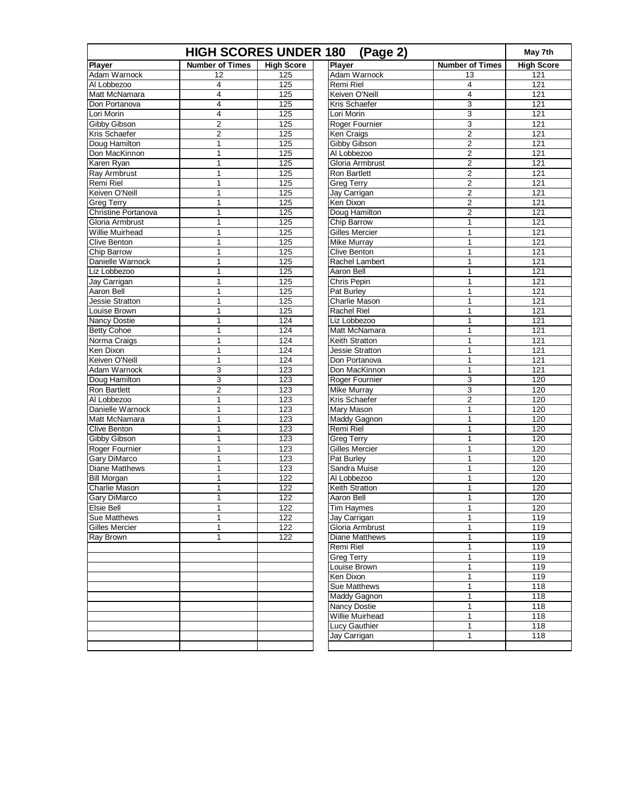| <b>High Score</b><br><b>Number of Times</b><br><b>High Score</b><br><b>Number of Times</b><br>Player<br>Adam Warnock<br>125<br>121<br>12<br>13<br>125<br>Remi Riel<br>121<br>4<br>4<br>$\overline{4}$<br>125<br>Keiven O'Neill<br>$\overline{4}$<br>121<br>Matt McNamara<br>$\overline{4}$<br>125<br>Kris Schaefer<br>3<br>121<br>Don Portanova<br>3<br>$\overline{4}$<br>125<br>121<br>Lori Morin<br>3<br>$\overline{2}$<br>Gibby Gibson<br>125<br>Roger Fournier<br>121<br>$\overline{2}$<br>125<br>$\overline{2}$<br>Kris Schaefer<br>Ken Craigs<br>121<br>$\overline{2}$<br>$\mathbf 1$<br>125<br>121<br>Doug Hamilton<br>Gibby Gibson<br>Don MacKinnon<br>$\mathbf 1$<br>125<br>$\overline{c}$<br>121<br>Al Lobbezoo<br>$\overline{2}$<br>125<br>Gloria Armbrust<br>121<br>1<br>$\mathbf{1}$<br>$\overline{2}$<br>Ray Armbrust<br>125<br>121<br><b>Ron Bartlett</b><br>125<br>$\overline{2}$<br>1<br><b>Greg Terry</b><br>121<br>$\overline{2}$<br>$\mathbf 1$<br>125<br>121<br>Jay Carrigan<br>1<br>125<br>Ken Dixon<br>$\overline{2}$<br>121<br>Christine Portanova<br>125<br>$\overline{2}$<br>121<br>1<br>Doug Hamilton<br>$\mathbf{1}$<br>Gloria Armbrust<br>125<br>Chip Barrow<br>1<br>121<br><b>Willie Muirhead</b><br>125<br>Gilles Mercier<br>121<br>1<br>1<br>$\mathbf 1$<br>125<br>121<br>Clive Benton<br>Mike Murray<br>$\mathbf{1}$<br>1<br>125<br>1<br>121<br>Chip Barrow<br><b>Clive Benton</b><br>125<br>121<br>Danielle Warnock<br>1<br>Rachel Lambert<br>1<br>$\mathbf{1}$<br>Liz Lobbezoo<br>125<br>Aaron Bell<br>$\mathbf{1}$<br>121<br>125<br>121<br>Jay Carrigan<br>1<br>Chris Pepin<br>1<br>$\mathbf{1}$<br>125<br>121<br>Pat Burley<br>$\mathbf{1}$<br>$\mathbf 1$<br>125<br><b>Charlie Mason</b><br>121<br>Jessie Stratton<br>$\mathbf{1}$<br>125<br>Rachel Riel<br>121<br>1<br>1<br>$\mathbf{1}$<br>124<br>Liz Lobbezoo<br>$\mathbf{1}$<br>121<br>124<br>121<br>1<br>Matt McNamara<br>1<br>$\mathbf 1$<br>124<br>121<br>Norma Craigs<br>Keith Stratton<br>$\mathbf{1}$<br>$\mathbf 1$<br>124<br><b>Jessie Stratton</b><br>1<br>121<br>Keiven O'Neill<br>124<br>121<br>1<br>Don Portanova<br>1<br>3<br>123<br>Don MacKinnon<br>1<br>121<br>3<br>123<br>3<br>120<br>Roger Fournier<br>$\overline{2}$<br>3<br>120<br>123<br><b>Mike Murray</b><br>$\mathbf 1$<br>123<br>Kris Schaefer<br>$\overline{2}$<br>120<br>123<br><b>Mary Mason</b><br>120<br>1<br>1<br>$\mathbf{1}$<br>123<br>Maddy Gagnon<br>1<br>120<br>123<br>120<br>1<br>Remi Riel<br>1<br>120<br>$\mathbf{1}$<br>123<br><b>Greg Terry</b><br>$\mathbf{1}$<br>$\mathbf 1$<br>123<br>Gilles Mercier<br>120<br>1<br>123<br>120<br>1<br>Pat Burley<br>1<br>$\mathbf{1}$<br><b>Diane Matthews</b><br>123<br>Sandra Muise<br>$\mathbf{1}$<br>120<br>122<br>120<br>$\mathbf{1}$<br>Al Lobbezoo<br>1<br>$\mathbf{1}$<br>122<br>120<br>Charlie Mason<br>Keith Stratton<br>$\mathbf{1}$<br>1<br>122<br>120<br>Aaron Bell<br>1<br>122<br><b>Tim Haymes</b><br>120<br>1<br>1<br>$\mathbf{1}$<br>122<br>1<br>119<br>Jay Carrigan<br>Gloria Armbrust<br>119<br>122<br>1<br>1<br>119<br>$\mathbf{1}$<br>122<br>Diane Matthews<br>1<br>Remi Riel<br>119<br>1<br>119<br><b>Greg Terry</b><br>1<br>119<br>Louise Brown<br>1<br>119<br>Ken Dixon<br>1<br>Sue Matthews<br>$\mathbf{1}$<br>118<br>118<br><b>Maddy Gagnon</b><br>1<br>118<br><b>Nancy Dostie</b><br>1<br>Willie Muirhead<br>1<br>118<br>118<br>Lucy Gauthier<br>1<br>118<br>Jay Carrigan<br>1 | <b>HIGH SCORES UNDER 180</b><br>(Page 2) |  |  |  |  |  |
|----------------------------------------------------------------------------------------------------------------------------------------------------------------------------------------------------------------------------------------------------------------------------------------------------------------------------------------------------------------------------------------------------------------------------------------------------------------------------------------------------------------------------------------------------------------------------------------------------------------------------------------------------------------------------------------------------------------------------------------------------------------------------------------------------------------------------------------------------------------------------------------------------------------------------------------------------------------------------------------------------------------------------------------------------------------------------------------------------------------------------------------------------------------------------------------------------------------------------------------------------------------------------------------------------------------------------------------------------------------------------------------------------------------------------------------------------------------------------------------------------------------------------------------------------------------------------------------------------------------------------------------------------------------------------------------------------------------------------------------------------------------------------------------------------------------------------------------------------------------------------------------------------------------------------------------------------------------------------------------------------------------------------------------------------------------------------------------------------------------------------------------------------------------------------------------------------------------------------------------------------------------------------------------------------------------------------------------------------------------------------------------------------------------------------------------------------------------------------------------------------------------------------------------------------------------------------------------------------------------------------------------------------------------------------------------------------------------------------------------------------------------------------------------------------------------------------------------------------------------------------------------------------------------------------------------------------------------------------------------------------------------------------------------------------------------------------------------------------------------------------------------------------------------------------------------------------------------------------------------------------------------------------------------------------------------------------------------------------------------------------------------------------------------------------------|------------------------------------------|--|--|--|--|--|
|                                                                                                                                                                                                                                                                                                                                                                                                                                                                                                                                                                                                                                                                                                                                                                                                                                                                                                                                                                                                                                                                                                                                                                                                                                                                                                                                                                                                                                                                                                                                                                                                                                                                                                                                                                                                                                                                                                                                                                                                                                                                                                                                                                                                                                                                                                                                                                                                                                                                                                                                                                                                                                                                                                                                                                                                                                                                                                                                                                                                                                                                                                                                                                                                                                                                                                                                                                                                                                  | <b>Player</b>                            |  |  |  |  |  |
|                                                                                                                                                                                                                                                                                                                                                                                                                                                                                                                                                                                                                                                                                                                                                                                                                                                                                                                                                                                                                                                                                                                                                                                                                                                                                                                                                                                                                                                                                                                                                                                                                                                                                                                                                                                                                                                                                                                                                                                                                                                                                                                                                                                                                                                                                                                                                                                                                                                                                                                                                                                                                                                                                                                                                                                                                                                                                                                                                                                                                                                                                                                                                                                                                                                                                                                                                                                                                                  | Adam Warnock                             |  |  |  |  |  |
|                                                                                                                                                                                                                                                                                                                                                                                                                                                                                                                                                                                                                                                                                                                                                                                                                                                                                                                                                                                                                                                                                                                                                                                                                                                                                                                                                                                                                                                                                                                                                                                                                                                                                                                                                                                                                                                                                                                                                                                                                                                                                                                                                                                                                                                                                                                                                                                                                                                                                                                                                                                                                                                                                                                                                                                                                                                                                                                                                                                                                                                                                                                                                                                                                                                                                                                                                                                                                                  | Al Lobbezoo                              |  |  |  |  |  |
|                                                                                                                                                                                                                                                                                                                                                                                                                                                                                                                                                                                                                                                                                                                                                                                                                                                                                                                                                                                                                                                                                                                                                                                                                                                                                                                                                                                                                                                                                                                                                                                                                                                                                                                                                                                                                                                                                                                                                                                                                                                                                                                                                                                                                                                                                                                                                                                                                                                                                                                                                                                                                                                                                                                                                                                                                                                                                                                                                                                                                                                                                                                                                                                                                                                                                                                                                                                                                                  |                                          |  |  |  |  |  |
|                                                                                                                                                                                                                                                                                                                                                                                                                                                                                                                                                                                                                                                                                                                                                                                                                                                                                                                                                                                                                                                                                                                                                                                                                                                                                                                                                                                                                                                                                                                                                                                                                                                                                                                                                                                                                                                                                                                                                                                                                                                                                                                                                                                                                                                                                                                                                                                                                                                                                                                                                                                                                                                                                                                                                                                                                                                                                                                                                                                                                                                                                                                                                                                                                                                                                                                                                                                                                                  |                                          |  |  |  |  |  |
|                                                                                                                                                                                                                                                                                                                                                                                                                                                                                                                                                                                                                                                                                                                                                                                                                                                                                                                                                                                                                                                                                                                                                                                                                                                                                                                                                                                                                                                                                                                                                                                                                                                                                                                                                                                                                                                                                                                                                                                                                                                                                                                                                                                                                                                                                                                                                                                                                                                                                                                                                                                                                                                                                                                                                                                                                                                                                                                                                                                                                                                                                                                                                                                                                                                                                                                                                                                                                                  | Lori Morin                               |  |  |  |  |  |
|                                                                                                                                                                                                                                                                                                                                                                                                                                                                                                                                                                                                                                                                                                                                                                                                                                                                                                                                                                                                                                                                                                                                                                                                                                                                                                                                                                                                                                                                                                                                                                                                                                                                                                                                                                                                                                                                                                                                                                                                                                                                                                                                                                                                                                                                                                                                                                                                                                                                                                                                                                                                                                                                                                                                                                                                                                                                                                                                                                                                                                                                                                                                                                                                                                                                                                                                                                                                                                  |                                          |  |  |  |  |  |
|                                                                                                                                                                                                                                                                                                                                                                                                                                                                                                                                                                                                                                                                                                                                                                                                                                                                                                                                                                                                                                                                                                                                                                                                                                                                                                                                                                                                                                                                                                                                                                                                                                                                                                                                                                                                                                                                                                                                                                                                                                                                                                                                                                                                                                                                                                                                                                                                                                                                                                                                                                                                                                                                                                                                                                                                                                                                                                                                                                                                                                                                                                                                                                                                                                                                                                                                                                                                                                  |                                          |  |  |  |  |  |
|                                                                                                                                                                                                                                                                                                                                                                                                                                                                                                                                                                                                                                                                                                                                                                                                                                                                                                                                                                                                                                                                                                                                                                                                                                                                                                                                                                                                                                                                                                                                                                                                                                                                                                                                                                                                                                                                                                                                                                                                                                                                                                                                                                                                                                                                                                                                                                                                                                                                                                                                                                                                                                                                                                                                                                                                                                                                                                                                                                                                                                                                                                                                                                                                                                                                                                                                                                                                                                  |                                          |  |  |  |  |  |
|                                                                                                                                                                                                                                                                                                                                                                                                                                                                                                                                                                                                                                                                                                                                                                                                                                                                                                                                                                                                                                                                                                                                                                                                                                                                                                                                                                                                                                                                                                                                                                                                                                                                                                                                                                                                                                                                                                                                                                                                                                                                                                                                                                                                                                                                                                                                                                                                                                                                                                                                                                                                                                                                                                                                                                                                                                                                                                                                                                                                                                                                                                                                                                                                                                                                                                                                                                                                                                  |                                          |  |  |  |  |  |
|                                                                                                                                                                                                                                                                                                                                                                                                                                                                                                                                                                                                                                                                                                                                                                                                                                                                                                                                                                                                                                                                                                                                                                                                                                                                                                                                                                                                                                                                                                                                                                                                                                                                                                                                                                                                                                                                                                                                                                                                                                                                                                                                                                                                                                                                                                                                                                                                                                                                                                                                                                                                                                                                                                                                                                                                                                                                                                                                                                                                                                                                                                                                                                                                                                                                                                                                                                                                                                  | Karen Ryan                               |  |  |  |  |  |
|                                                                                                                                                                                                                                                                                                                                                                                                                                                                                                                                                                                                                                                                                                                                                                                                                                                                                                                                                                                                                                                                                                                                                                                                                                                                                                                                                                                                                                                                                                                                                                                                                                                                                                                                                                                                                                                                                                                                                                                                                                                                                                                                                                                                                                                                                                                                                                                                                                                                                                                                                                                                                                                                                                                                                                                                                                                                                                                                                                                                                                                                                                                                                                                                                                                                                                                                                                                                                                  |                                          |  |  |  |  |  |
|                                                                                                                                                                                                                                                                                                                                                                                                                                                                                                                                                                                                                                                                                                                                                                                                                                                                                                                                                                                                                                                                                                                                                                                                                                                                                                                                                                                                                                                                                                                                                                                                                                                                                                                                                                                                                                                                                                                                                                                                                                                                                                                                                                                                                                                                                                                                                                                                                                                                                                                                                                                                                                                                                                                                                                                                                                                                                                                                                                                                                                                                                                                                                                                                                                                                                                                                                                                                                                  | <b>Remi Riel</b>                         |  |  |  |  |  |
|                                                                                                                                                                                                                                                                                                                                                                                                                                                                                                                                                                                                                                                                                                                                                                                                                                                                                                                                                                                                                                                                                                                                                                                                                                                                                                                                                                                                                                                                                                                                                                                                                                                                                                                                                                                                                                                                                                                                                                                                                                                                                                                                                                                                                                                                                                                                                                                                                                                                                                                                                                                                                                                                                                                                                                                                                                                                                                                                                                                                                                                                                                                                                                                                                                                                                                                                                                                                                                  | Keiven O'Neill                           |  |  |  |  |  |
|                                                                                                                                                                                                                                                                                                                                                                                                                                                                                                                                                                                                                                                                                                                                                                                                                                                                                                                                                                                                                                                                                                                                                                                                                                                                                                                                                                                                                                                                                                                                                                                                                                                                                                                                                                                                                                                                                                                                                                                                                                                                                                                                                                                                                                                                                                                                                                                                                                                                                                                                                                                                                                                                                                                                                                                                                                                                                                                                                                                                                                                                                                                                                                                                                                                                                                                                                                                                                                  | <b>Greg Terry</b>                        |  |  |  |  |  |
|                                                                                                                                                                                                                                                                                                                                                                                                                                                                                                                                                                                                                                                                                                                                                                                                                                                                                                                                                                                                                                                                                                                                                                                                                                                                                                                                                                                                                                                                                                                                                                                                                                                                                                                                                                                                                                                                                                                                                                                                                                                                                                                                                                                                                                                                                                                                                                                                                                                                                                                                                                                                                                                                                                                                                                                                                                                                                                                                                                                                                                                                                                                                                                                                                                                                                                                                                                                                                                  |                                          |  |  |  |  |  |
|                                                                                                                                                                                                                                                                                                                                                                                                                                                                                                                                                                                                                                                                                                                                                                                                                                                                                                                                                                                                                                                                                                                                                                                                                                                                                                                                                                                                                                                                                                                                                                                                                                                                                                                                                                                                                                                                                                                                                                                                                                                                                                                                                                                                                                                                                                                                                                                                                                                                                                                                                                                                                                                                                                                                                                                                                                                                                                                                                                                                                                                                                                                                                                                                                                                                                                                                                                                                                                  |                                          |  |  |  |  |  |
|                                                                                                                                                                                                                                                                                                                                                                                                                                                                                                                                                                                                                                                                                                                                                                                                                                                                                                                                                                                                                                                                                                                                                                                                                                                                                                                                                                                                                                                                                                                                                                                                                                                                                                                                                                                                                                                                                                                                                                                                                                                                                                                                                                                                                                                                                                                                                                                                                                                                                                                                                                                                                                                                                                                                                                                                                                                                                                                                                                                                                                                                                                                                                                                                                                                                                                                                                                                                                                  |                                          |  |  |  |  |  |
|                                                                                                                                                                                                                                                                                                                                                                                                                                                                                                                                                                                                                                                                                                                                                                                                                                                                                                                                                                                                                                                                                                                                                                                                                                                                                                                                                                                                                                                                                                                                                                                                                                                                                                                                                                                                                                                                                                                                                                                                                                                                                                                                                                                                                                                                                                                                                                                                                                                                                                                                                                                                                                                                                                                                                                                                                                                                                                                                                                                                                                                                                                                                                                                                                                                                                                                                                                                                                                  |                                          |  |  |  |  |  |
|                                                                                                                                                                                                                                                                                                                                                                                                                                                                                                                                                                                                                                                                                                                                                                                                                                                                                                                                                                                                                                                                                                                                                                                                                                                                                                                                                                                                                                                                                                                                                                                                                                                                                                                                                                                                                                                                                                                                                                                                                                                                                                                                                                                                                                                                                                                                                                                                                                                                                                                                                                                                                                                                                                                                                                                                                                                                                                                                                                                                                                                                                                                                                                                                                                                                                                                                                                                                                                  |                                          |  |  |  |  |  |
|                                                                                                                                                                                                                                                                                                                                                                                                                                                                                                                                                                                                                                                                                                                                                                                                                                                                                                                                                                                                                                                                                                                                                                                                                                                                                                                                                                                                                                                                                                                                                                                                                                                                                                                                                                                                                                                                                                                                                                                                                                                                                                                                                                                                                                                                                                                                                                                                                                                                                                                                                                                                                                                                                                                                                                                                                                                                                                                                                                                                                                                                                                                                                                                                                                                                                                                                                                                                                                  |                                          |  |  |  |  |  |
|                                                                                                                                                                                                                                                                                                                                                                                                                                                                                                                                                                                                                                                                                                                                                                                                                                                                                                                                                                                                                                                                                                                                                                                                                                                                                                                                                                                                                                                                                                                                                                                                                                                                                                                                                                                                                                                                                                                                                                                                                                                                                                                                                                                                                                                                                                                                                                                                                                                                                                                                                                                                                                                                                                                                                                                                                                                                                                                                                                                                                                                                                                                                                                                                                                                                                                                                                                                                                                  |                                          |  |  |  |  |  |
|                                                                                                                                                                                                                                                                                                                                                                                                                                                                                                                                                                                                                                                                                                                                                                                                                                                                                                                                                                                                                                                                                                                                                                                                                                                                                                                                                                                                                                                                                                                                                                                                                                                                                                                                                                                                                                                                                                                                                                                                                                                                                                                                                                                                                                                                                                                                                                                                                                                                                                                                                                                                                                                                                                                                                                                                                                                                                                                                                                                                                                                                                                                                                                                                                                                                                                                                                                                                                                  |                                          |  |  |  |  |  |
|                                                                                                                                                                                                                                                                                                                                                                                                                                                                                                                                                                                                                                                                                                                                                                                                                                                                                                                                                                                                                                                                                                                                                                                                                                                                                                                                                                                                                                                                                                                                                                                                                                                                                                                                                                                                                                                                                                                                                                                                                                                                                                                                                                                                                                                                                                                                                                                                                                                                                                                                                                                                                                                                                                                                                                                                                                                                                                                                                                                                                                                                                                                                                                                                                                                                                                                                                                                                                                  | Aaron Bell                               |  |  |  |  |  |
|                                                                                                                                                                                                                                                                                                                                                                                                                                                                                                                                                                                                                                                                                                                                                                                                                                                                                                                                                                                                                                                                                                                                                                                                                                                                                                                                                                                                                                                                                                                                                                                                                                                                                                                                                                                                                                                                                                                                                                                                                                                                                                                                                                                                                                                                                                                                                                                                                                                                                                                                                                                                                                                                                                                                                                                                                                                                                                                                                                                                                                                                                                                                                                                                                                                                                                                                                                                                                                  |                                          |  |  |  |  |  |
|                                                                                                                                                                                                                                                                                                                                                                                                                                                                                                                                                                                                                                                                                                                                                                                                                                                                                                                                                                                                                                                                                                                                                                                                                                                                                                                                                                                                                                                                                                                                                                                                                                                                                                                                                                                                                                                                                                                                                                                                                                                                                                                                                                                                                                                                                                                                                                                                                                                                                                                                                                                                                                                                                                                                                                                                                                                                                                                                                                                                                                                                                                                                                                                                                                                                                                                                                                                                                                  | Louise Brown                             |  |  |  |  |  |
|                                                                                                                                                                                                                                                                                                                                                                                                                                                                                                                                                                                                                                                                                                                                                                                                                                                                                                                                                                                                                                                                                                                                                                                                                                                                                                                                                                                                                                                                                                                                                                                                                                                                                                                                                                                                                                                                                                                                                                                                                                                                                                                                                                                                                                                                                                                                                                                                                                                                                                                                                                                                                                                                                                                                                                                                                                                                                                                                                                                                                                                                                                                                                                                                                                                                                                                                                                                                                                  | <b>Nancy Dostie</b>                      |  |  |  |  |  |
|                                                                                                                                                                                                                                                                                                                                                                                                                                                                                                                                                                                                                                                                                                                                                                                                                                                                                                                                                                                                                                                                                                                                                                                                                                                                                                                                                                                                                                                                                                                                                                                                                                                                                                                                                                                                                                                                                                                                                                                                                                                                                                                                                                                                                                                                                                                                                                                                                                                                                                                                                                                                                                                                                                                                                                                                                                                                                                                                                                                                                                                                                                                                                                                                                                                                                                                                                                                                                                  | <b>Betty Cohoe</b>                       |  |  |  |  |  |
|                                                                                                                                                                                                                                                                                                                                                                                                                                                                                                                                                                                                                                                                                                                                                                                                                                                                                                                                                                                                                                                                                                                                                                                                                                                                                                                                                                                                                                                                                                                                                                                                                                                                                                                                                                                                                                                                                                                                                                                                                                                                                                                                                                                                                                                                                                                                                                                                                                                                                                                                                                                                                                                                                                                                                                                                                                                                                                                                                                                                                                                                                                                                                                                                                                                                                                                                                                                                                                  |                                          |  |  |  |  |  |
|                                                                                                                                                                                                                                                                                                                                                                                                                                                                                                                                                                                                                                                                                                                                                                                                                                                                                                                                                                                                                                                                                                                                                                                                                                                                                                                                                                                                                                                                                                                                                                                                                                                                                                                                                                                                                                                                                                                                                                                                                                                                                                                                                                                                                                                                                                                                                                                                                                                                                                                                                                                                                                                                                                                                                                                                                                                                                                                                                                                                                                                                                                                                                                                                                                                                                                                                                                                                                                  | Ken Dixon                                |  |  |  |  |  |
|                                                                                                                                                                                                                                                                                                                                                                                                                                                                                                                                                                                                                                                                                                                                                                                                                                                                                                                                                                                                                                                                                                                                                                                                                                                                                                                                                                                                                                                                                                                                                                                                                                                                                                                                                                                                                                                                                                                                                                                                                                                                                                                                                                                                                                                                                                                                                                                                                                                                                                                                                                                                                                                                                                                                                                                                                                                                                                                                                                                                                                                                                                                                                                                                                                                                                                                                                                                                                                  |                                          |  |  |  |  |  |
|                                                                                                                                                                                                                                                                                                                                                                                                                                                                                                                                                                                                                                                                                                                                                                                                                                                                                                                                                                                                                                                                                                                                                                                                                                                                                                                                                                                                                                                                                                                                                                                                                                                                                                                                                                                                                                                                                                                                                                                                                                                                                                                                                                                                                                                                                                                                                                                                                                                                                                                                                                                                                                                                                                                                                                                                                                                                                                                                                                                                                                                                                                                                                                                                                                                                                                                                                                                                                                  | Adam Warnock                             |  |  |  |  |  |
|                                                                                                                                                                                                                                                                                                                                                                                                                                                                                                                                                                                                                                                                                                                                                                                                                                                                                                                                                                                                                                                                                                                                                                                                                                                                                                                                                                                                                                                                                                                                                                                                                                                                                                                                                                                                                                                                                                                                                                                                                                                                                                                                                                                                                                                                                                                                                                                                                                                                                                                                                                                                                                                                                                                                                                                                                                                                                                                                                                                                                                                                                                                                                                                                                                                                                                                                                                                                                                  | Doug Hamilton                            |  |  |  |  |  |
|                                                                                                                                                                                                                                                                                                                                                                                                                                                                                                                                                                                                                                                                                                                                                                                                                                                                                                                                                                                                                                                                                                                                                                                                                                                                                                                                                                                                                                                                                                                                                                                                                                                                                                                                                                                                                                                                                                                                                                                                                                                                                                                                                                                                                                                                                                                                                                                                                                                                                                                                                                                                                                                                                                                                                                                                                                                                                                                                                                                                                                                                                                                                                                                                                                                                                                                                                                                                                                  | Ron Bartlett                             |  |  |  |  |  |
|                                                                                                                                                                                                                                                                                                                                                                                                                                                                                                                                                                                                                                                                                                                                                                                                                                                                                                                                                                                                                                                                                                                                                                                                                                                                                                                                                                                                                                                                                                                                                                                                                                                                                                                                                                                                                                                                                                                                                                                                                                                                                                                                                                                                                                                                                                                                                                                                                                                                                                                                                                                                                                                                                                                                                                                                                                                                                                                                                                                                                                                                                                                                                                                                                                                                                                                                                                                                                                  | Al Lobbezoo                              |  |  |  |  |  |
|                                                                                                                                                                                                                                                                                                                                                                                                                                                                                                                                                                                                                                                                                                                                                                                                                                                                                                                                                                                                                                                                                                                                                                                                                                                                                                                                                                                                                                                                                                                                                                                                                                                                                                                                                                                                                                                                                                                                                                                                                                                                                                                                                                                                                                                                                                                                                                                                                                                                                                                                                                                                                                                                                                                                                                                                                                                                                                                                                                                                                                                                                                                                                                                                                                                                                                                                                                                                                                  | Danielle Warnock                         |  |  |  |  |  |
|                                                                                                                                                                                                                                                                                                                                                                                                                                                                                                                                                                                                                                                                                                                                                                                                                                                                                                                                                                                                                                                                                                                                                                                                                                                                                                                                                                                                                                                                                                                                                                                                                                                                                                                                                                                                                                                                                                                                                                                                                                                                                                                                                                                                                                                                                                                                                                                                                                                                                                                                                                                                                                                                                                                                                                                                                                                                                                                                                                                                                                                                                                                                                                                                                                                                                                                                                                                                                                  | Matt McNamara                            |  |  |  |  |  |
|                                                                                                                                                                                                                                                                                                                                                                                                                                                                                                                                                                                                                                                                                                                                                                                                                                                                                                                                                                                                                                                                                                                                                                                                                                                                                                                                                                                                                                                                                                                                                                                                                                                                                                                                                                                                                                                                                                                                                                                                                                                                                                                                                                                                                                                                                                                                                                                                                                                                                                                                                                                                                                                                                                                                                                                                                                                                                                                                                                                                                                                                                                                                                                                                                                                                                                                                                                                                                                  | Clive Benton                             |  |  |  |  |  |
|                                                                                                                                                                                                                                                                                                                                                                                                                                                                                                                                                                                                                                                                                                                                                                                                                                                                                                                                                                                                                                                                                                                                                                                                                                                                                                                                                                                                                                                                                                                                                                                                                                                                                                                                                                                                                                                                                                                                                                                                                                                                                                                                                                                                                                                                                                                                                                                                                                                                                                                                                                                                                                                                                                                                                                                                                                                                                                                                                                                                                                                                                                                                                                                                                                                                                                                                                                                                                                  | Gibby Gibson                             |  |  |  |  |  |
|                                                                                                                                                                                                                                                                                                                                                                                                                                                                                                                                                                                                                                                                                                                                                                                                                                                                                                                                                                                                                                                                                                                                                                                                                                                                                                                                                                                                                                                                                                                                                                                                                                                                                                                                                                                                                                                                                                                                                                                                                                                                                                                                                                                                                                                                                                                                                                                                                                                                                                                                                                                                                                                                                                                                                                                                                                                                                                                                                                                                                                                                                                                                                                                                                                                                                                                                                                                                                                  | Roger Fournier                           |  |  |  |  |  |
|                                                                                                                                                                                                                                                                                                                                                                                                                                                                                                                                                                                                                                                                                                                                                                                                                                                                                                                                                                                                                                                                                                                                                                                                                                                                                                                                                                                                                                                                                                                                                                                                                                                                                                                                                                                                                                                                                                                                                                                                                                                                                                                                                                                                                                                                                                                                                                                                                                                                                                                                                                                                                                                                                                                                                                                                                                                                                                                                                                                                                                                                                                                                                                                                                                                                                                                                                                                                                                  | Gary DiMarco                             |  |  |  |  |  |
|                                                                                                                                                                                                                                                                                                                                                                                                                                                                                                                                                                                                                                                                                                                                                                                                                                                                                                                                                                                                                                                                                                                                                                                                                                                                                                                                                                                                                                                                                                                                                                                                                                                                                                                                                                                                                                                                                                                                                                                                                                                                                                                                                                                                                                                                                                                                                                                                                                                                                                                                                                                                                                                                                                                                                                                                                                                                                                                                                                                                                                                                                                                                                                                                                                                                                                                                                                                                                                  |                                          |  |  |  |  |  |
|                                                                                                                                                                                                                                                                                                                                                                                                                                                                                                                                                                                                                                                                                                                                                                                                                                                                                                                                                                                                                                                                                                                                                                                                                                                                                                                                                                                                                                                                                                                                                                                                                                                                                                                                                                                                                                                                                                                                                                                                                                                                                                                                                                                                                                                                                                                                                                                                                                                                                                                                                                                                                                                                                                                                                                                                                                                                                                                                                                                                                                                                                                                                                                                                                                                                                                                                                                                                                                  | <b>Bill Morgan</b>                       |  |  |  |  |  |
|                                                                                                                                                                                                                                                                                                                                                                                                                                                                                                                                                                                                                                                                                                                                                                                                                                                                                                                                                                                                                                                                                                                                                                                                                                                                                                                                                                                                                                                                                                                                                                                                                                                                                                                                                                                                                                                                                                                                                                                                                                                                                                                                                                                                                                                                                                                                                                                                                                                                                                                                                                                                                                                                                                                                                                                                                                                                                                                                                                                                                                                                                                                                                                                                                                                                                                                                                                                                                                  |                                          |  |  |  |  |  |
|                                                                                                                                                                                                                                                                                                                                                                                                                                                                                                                                                                                                                                                                                                                                                                                                                                                                                                                                                                                                                                                                                                                                                                                                                                                                                                                                                                                                                                                                                                                                                                                                                                                                                                                                                                                                                                                                                                                                                                                                                                                                                                                                                                                                                                                                                                                                                                                                                                                                                                                                                                                                                                                                                                                                                                                                                                                                                                                                                                                                                                                                                                                                                                                                                                                                                                                                                                                                                                  | <b>Gary DiMarco</b>                      |  |  |  |  |  |
|                                                                                                                                                                                                                                                                                                                                                                                                                                                                                                                                                                                                                                                                                                                                                                                                                                                                                                                                                                                                                                                                                                                                                                                                                                                                                                                                                                                                                                                                                                                                                                                                                                                                                                                                                                                                                                                                                                                                                                                                                                                                                                                                                                                                                                                                                                                                                                                                                                                                                                                                                                                                                                                                                                                                                                                                                                                                                                                                                                                                                                                                                                                                                                                                                                                                                                                                                                                                                                  | <b>Elsie Bell</b>                        |  |  |  |  |  |
|                                                                                                                                                                                                                                                                                                                                                                                                                                                                                                                                                                                                                                                                                                                                                                                                                                                                                                                                                                                                                                                                                                                                                                                                                                                                                                                                                                                                                                                                                                                                                                                                                                                                                                                                                                                                                                                                                                                                                                                                                                                                                                                                                                                                                                                                                                                                                                                                                                                                                                                                                                                                                                                                                                                                                                                                                                                                                                                                                                                                                                                                                                                                                                                                                                                                                                                                                                                                                                  | <b>Sue Matthews</b>                      |  |  |  |  |  |
|                                                                                                                                                                                                                                                                                                                                                                                                                                                                                                                                                                                                                                                                                                                                                                                                                                                                                                                                                                                                                                                                                                                                                                                                                                                                                                                                                                                                                                                                                                                                                                                                                                                                                                                                                                                                                                                                                                                                                                                                                                                                                                                                                                                                                                                                                                                                                                                                                                                                                                                                                                                                                                                                                                                                                                                                                                                                                                                                                                                                                                                                                                                                                                                                                                                                                                                                                                                                                                  | Gilles Mercier                           |  |  |  |  |  |
|                                                                                                                                                                                                                                                                                                                                                                                                                                                                                                                                                                                                                                                                                                                                                                                                                                                                                                                                                                                                                                                                                                                                                                                                                                                                                                                                                                                                                                                                                                                                                                                                                                                                                                                                                                                                                                                                                                                                                                                                                                                                                                                                                                                                                                                                                                                                                                                                                                                                                                                                                                                                                                                                                                                                                                                                                                                                                                                                                                                                                                                                                                                                                                                                                                                                                                                                                                                                                                  | Ray Brown                                |  |  |  |  |  |
|                                                                                                                                                                                                                                                                                                                                                                                                                                                                                                                                                                                                                                                                                                                                                                                                                                                                                                                                                                                                                                                                                                                                                                                                                                                                                                                                                                                                                                                                                                                                                                                                                                                                                                                                                                                                                                                                                                                                                                                                                                                                                                                                                                                                                                                                                                                                                                                                                                                                                                                                                                                                                                                                                                                                                                                                                                                                                                                                                                                                                                                                                                                                                                                                                                                                                                                                                                                                                                  |                                          |  |  |  |  |  |
|                                                                                                                                                                                                                                                                                                                                                                                                                                                                                                                                                                                                                                                                                                                                                                                                                                                                                                                                                                                                                                                                                                                                                                                                                                                                                                                                                                                                                                                                                                                                                                                                                                                                                                                                                                                                                                                                                                                                                                                                                                                                                                                                                                                                                                                                                                                                                                                                                                                                                                                                                                                                                                                                                                                                                                                                                                                                                                                                                                                                                                                                                                                                                                                                                                                                                                                                                                                                                                  |                                          |  |  |  |  |  |
|                                                                                                                                                                                                                                                                                                                                                                                                                                                                                                                                                                                                                                                                                                                                                                                                                                                                                                                                                                                                                                                                                                                                                                                                                                                                                                                                                                                                                                                                                                                                                                                                                                                                                                                                                                                                                                                                                                                                                                                                                                                                                                                                                                                                                                                                                                                                                                                                                                                                                                                                                                                                                                                                                                                                                                                                                                                                                                                                                                                                                                                                                                                                                                                                                                                                                                                                                                                                                                  |                                          |  |  |  |  |  |
|                                                                                                                                                                                                                                                                                                                                                                                                                                                                                                                                                                                                                                                                                                                                                                                                                                                                                                                                                                                                                                                                                                                                                                                                                                                                                                                                                                                                                                                                                                                                                                                                                                                                                                                                                                                                                                                                                                                                                                                                                                                                                                                                                                                                                                                                                                                                                                                                                                                                                                                                                                                                                                                                                                                                                                                                                                                                                                                                                                                                                                                                                                                                                                                                                                                                                                                                                                                                                                  |                                          |  |  |  |  |  |
|                                                                                                                                                                                                                                                                                                                                                                                                                                                                                                                                                                                                                                                                                                                                                                                                                                                                                                                                                                                                                                                                                                                                                                                                                                                                                                                                                                                                                                                                                                                                                                                                                                                                                                                                                                                                                                                                                                                                                                                                                                                                                                                                                                                                                                                                                                                                                                                                                                                                                                                                                                                                                                                                                                                                                                                                                                                                                                                                                                                                                                                                                                                                                                                                                                                                                                                                                                                                                                  |                                          |  |  |  |  |  |
|                                                                                                                                                                                                                                                                                                                                                                                                                                                                                                                                                                                                                                                                                                                                                                                                                                                                                                                                                                                                                                                                                                                                                                                                                                                                                                                                                                                                                                                                                                                                                                                                                                                                                                                                                                                                                                                                                                                                                                                                                                                                                                                                                                                                                                                                                                                                                                                                                                                                                                                                                                                                                                                                                                                                                                                                                                                                                                                                                                                                                                                                                                                                                                                                                                                                                                                                                                                                                                  |                                          |  |  |  |  |  |
|                                                                                                                                                                                                                                                                                                                                                                                                                                                                                                                                                                                                                                                                                                                                                                                                                                                                                                                                                                                                                                                                                                                                                                                                                                                                                                                                                                                                                                                                                                                                                                                                                                                                                                                                                                                                                                                                                                                                                                                                                                                                                                                                                                                                                                                                                                                                                                                                                                                                                                                                                                                                                                                                                                                                                                                                                                                                                                                                                                                                                                                                                                                                                                                                                                                                                                                                                                                                                                  |                                          |  |  |  |  |  |
|                                                                                                                                                                                                                                                                                                                                                                                                                                                                                                                                                                                                                                                                                                                                                                                                                                                                                                                                                                                                                                                                                                                                                                                                                                                                                                                                                                                                                                                                                                                                                                                                                                                                                                                                                                                                                                                                                                                                                                                                                                                                                                                                                                                                                                                                                                                                                                                                                                                                                                                                                                                                                                                                                                                                                                                                                                                                                                                                                                                                                                                                                                                                                                                                                                                                                                                                                                                                                                  |                                          |  |  |  |  |  |
|                                                                                                                                                                                                                                                                                                                                                                                                                                                                                                                                                                                                                                                                                                                                                                                                                                                                                                                                                                                                                                                                                                                                                                                                                                                                                                                                                                                                                                                                                                                                                                                                                                                                                                                                                                                                                                                                                                                                                                                                                                                                                                                                                                                                                                                                                                                                                                                                                                                                                                                                                                                                                                                                                                                                                                                                                                                                                                                                                                                                                                                                                                                                                                                                                                                                                                                                                                                                                                  |                                          |  |  |  |  |  |
|                                                                                                                                                                                                                                                                                                                                                                                                                                                                                                                                                                                                                                                                                                                                                                                                                                                                                                                                                                                                                                                                                                                                                                                                                                                                                                                                                                                                                                                                                                                                                                                                                                                                                                                                                                                                                                                                                                                                                                                                                                                                                                                                                                                                                                                                                                                                                                                                                                                                                                                                                                                                                                                                                                                                                                                                                                                                                                                                                                                                                                                                                                                                                                                                                                                                                                                                                                                                                                  |                                          |  |  |  |  |  |
|                                                                                                                                                                                                                                                                                                                                                                                                                                                                                                                                                                                                                                                                                                                                                                                                                                                                                                                                                                                                                                                                                                                                                                                                                                                                                                                                                                                                                                                                                                                                                                                                                                                                                                                                                                                                                                                                                                                                                                                                                                                                                                                                                                                                                                                                                                                                                                                                                                                                                                                                                                                                                                                                                                                                                                                                                                                                                                                                                                                                                                                                                                                                                                                                                                                                                                                                                                                                                                  |                                          |  |  |  |  |  |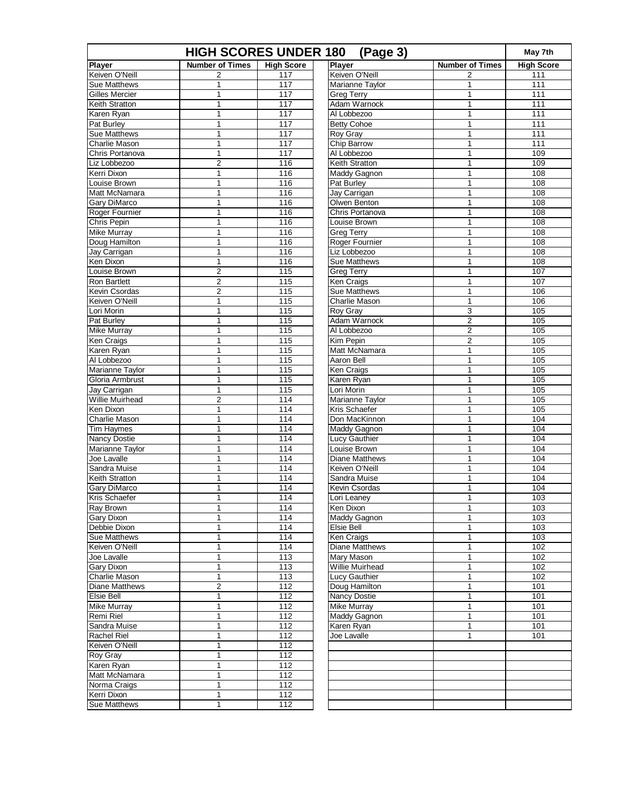| <b>HIGH SCORES UNDER 180</b><br>(Page 3) |                        |                   |                       |                        |                   |
|------------------------------------------|------------------------|-------------------|-----------------------|------------------------|-------------------|
| <b>Player</b>                            | <b>Number of Times</b> | <b>High Score</b> | <b>Player</b>         | <b>Number of Times</b> | <b>High Score</b> |
| Keiven O'Neill                           | $\overline{c}$         | 117               | Keiven O'Neill        | 2                      | 111               |
| Sue Matthews                             | 1                      | 117               | Marianne Taylor       | 1                      | 111               |
| Gilles Mercier                           | 1                      | 117               | <b>Greg Terry</b>     | $\mathbf{1}$           | $\overline{111}$  |
| Keith Stratton                           | 1                      | 117               | Adam Warnock          | $\mathbf{1}$           | 111               |
| Karen Ryan                               | 1                      | 117               | Al Lobbezoo           | 1                      | 111               |
| Pat Burley                               | 1                      | 117               | <b>Betty Cohoe</b>    | 1                      | 111               |
| <b>Sue Matthews</b>                      | 1                      | 117               | Roy Gray              | 1                      | 111               |
| Charlie Mason                            | 1                      | 117               | Chip Barrow           | 1                      | 111               |
| Chris Portanova                          | 1                      | 117               | Al Lobbezoo           | 1                      | 109               |
| Liz Lobbezoo                             | $\overline{c}$         | 116               | Keith Stratton        | 1                      | 109               |
| Kerri Dixon                              | $\mathbf{1}$           | 116               | Maddy Gagnon          | $\mathbf{1}$           | 108               |
| Louise Brown                             | 1                      | 116               | Pat Burley            | 1                      | 108               |
| Matt McNamara                            | 1                      | 116               | Jay Carrigan          | $\mathbf{1}$           | 108               |
| Gary DiMarco                             | 1                      | 116               | Olwen Benton          | 1                      | 108               |
| Roger Fournier                           | 1                      | 116               | Chris Portanova       | 1                      | 108               |
| Chris Pepin                              | 1                      | 116               | Louise Brown          | $\mathbf{1}$           | 108               |
| <b>Mike Murray</b>                       | 1                      | 116               | <b>Greg Terry</b>     | 1                      | 108               |
| Doug Hamilton                            | 1                      | 116               | Roger Fournier        | $\mathbf{1}$           | 108               |
| Jay Carrigan                             | 1                      | 116               | Liz Lobbezoo          | 1                      | 108               |
| Ken Dixon                                | 1                      | 116               | <b>Sue Matthews</b>   | 1                      | 108               |
| Louise Brown                             | $\mathbf 2$            | 115               | <b>Greg Terry</b>     | $\mathbf{1}$           | 107               |
| Ron Bartlett                             | $\overline{c}$         | 115               | Ken Craigs            | 1                      | 107               |
| Kevin Csordas                            | $\overline{c}$         | 115               | <b>Sue Matthews</b>   | 1                      | 106               |
| Keiven O'Neill                           | 1                      | 115               | <b>Charlie Mason</b>  | $\mathbf{1}$           | 106               |
| Lori Morin                               | 1                      | 115               | Roy Gray              | 3                      | 105               |
| Pat Burley                               | 1                      | 115               | Adam Warnock          | $\overline{c}$         | 105               |
| <b>Mike Murray</b>                       | 1                      | 115               | Al Lobbezoo           | 2                      | 105               |
| Ken Craigs                               | 1                      | 115               | Kim Pepin             | 2                      | 105               |
| Karen Ryan                               | 1                      | 115               | Matt McNamara         | 1                      | 105               |
| Al Lobbezoo                              | 1                      | 115               | Aaron Bell            | 1                      | 105               |
| Marianne Taylor                          | $\mathbf{1}$           | 115               | Ken Craigs            | $\mathbf{1}$           | 105               |
| Gloria Armbrust                          | 1                      | 115               | Karen Ryan            | 1                      | 105               |
| Jay Carrigan                             | 1                      | 115               | Lori Morin            | $\mathbf{1}$           | 105               |
| <b>Willie Muirhead</b>                   | $\overline{2}$         | 114               | Marianne Taylor       | 1                      | 105               |
| Ken Dixon                                | 1                      | 114               | Kris Schaefer         | 1                      | 105               |
| Charlie Mason                            | 1                      | 114               | Don MacKinnon         | $\mathbf{1}$           | 104               |
| Tim Haymes                               | 1                      | 114               | Maddy Gagnon          | 1                      | 104               |
| Nancy Dostie                             | 1                      | 114               | Lucy Gauthier         | 1                      | 104               |
| Marianne Taylor                          | 1                      | 114               | Louise Brown          | 1                      | 104               |
| Joe Lavalle                              | 1                      | 114               | <b>Diane Matthews</b> | 1                      | 104               |
| Sandra Muise                             | 1                      | 114               | Keiven O'Neill        | $\mathbf{1}$           | 104               |
| Keith Stratton                           | 1                      | 114               | Sandra Muise          | 1                      | 104               |
| Gary DiMarco                             | 1                      | 114               | Kevin Csordas         | 1                      | 104               |
| Kris Schaefer                            | 1                      | 114               | Lori Leaney           | $\mathbf{1}$           | 103               |
| Ray Brown                                | 1                      | 114               | Ken Dixon             | 1                      | 103               |
| Gary Dixon                               | 1                      | 114               | Maddy Gagnon          | 1                      | 103               |
| Debbie Dixon                             | 1                      | 114               | Elsie Bell            | 1                      | 103               |
| <b>Sue Matthews</b>                      | 1                      | 114               | Ken Craigs            | 1                      | 103               |
| Keiven O'Neill                           | 1                      | 114               | Diane Matthews        | 1                      | 102               |
| Joe Lavalle                              | 1                      | 113               | Mary Mason            | 1                      | 102               |
| Gary Dixon                               | 1                      | 113               | Willie Muirhead       | $\mathbf{1}$           | 102               |
| Charlie Mason                            | 1                      | 113               | Lucy Gauthier         | 1                      | 102               |
| Diane Matthews                           | 2                      | 112               | Doug Hamilton         | 1                      | $\frac{1}{101}$   |
| Elsie Bell                               | 1                      | 112               | <b>Nancy Dostie</b>   | $\mathbf{1}$           | 101               |
| Mike Murray                              | 1                      | 112               | <b>Mike Murray</b>    | 1                      | 101               |
| Remi Riel                                | 1                      | 112               | Maddy Gagnon          | $\mathbf{1}$           | 101               |
| Sandra Muise                             | 1                      | 112               | Karen Ryan            | 1                      | 101               |
| Rachel Riel                              | 1                      | 112               | Joe Lavalle           | 1                      | 101               |
| Keiven O'Neill                           | 1                      | $\frac{11}{2}$    |                       |                        |                   |
| Roy Gray                                 | 1                      | 112               |                       |                        |                   |
| Karen Ryan                               | 1                      | 112               |                       |                        |                   |
| Matt McNamara                            | 1                      | 112               |                       |                        |                   |
| Norma Craigs                             | 1                      | 112               |                       |                        |                   |
| Kerri Dixon                              | 1                      | $\frac{1}{12}$    |                       |                        |                   |
| <b>Sue Matthews</b>                      | 1                      | 112               |                       |                        |                   |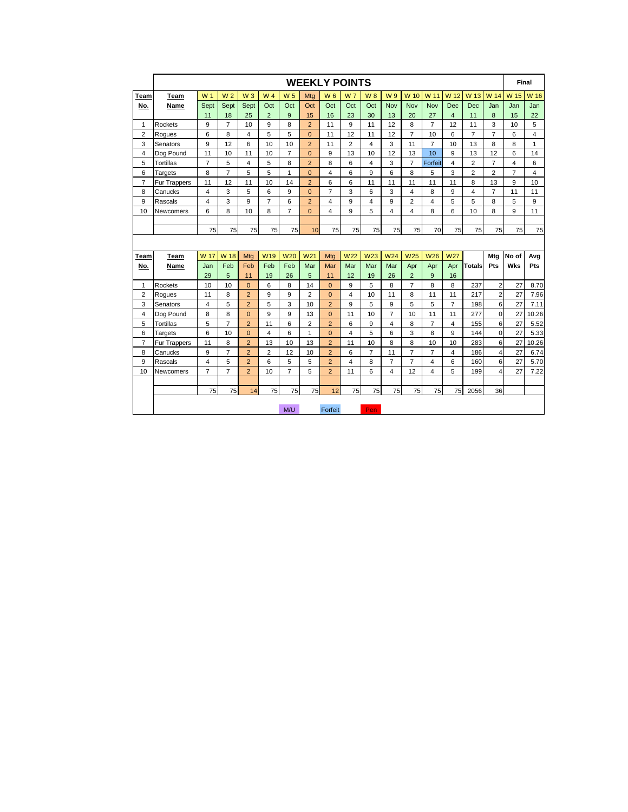|                |              |                |                |                |                |                |                 |                | <b>WEEKLY POINTS</b> |                |                |                |                |                |                |                | Final          |       |
|----------------|--------------|----------------|----------------|----------------|----------------|----------------|-----------------|----------------|----------------------|----------------|----------------|----------------|----------------|----------------|----------------|----------------|----------------|-------|
| Team           | Team         | W <sub>1</sub> | W <sub>2</sub> | $W_3$          | W <sub>4</sub> | W <sub>5</sub> | Mtg             | <b>W6</b>      | <b>W7</b>            | <b>W8</b>      | W 9            | W 10           | W 11           | W 12           | W 13           | W 14           | W 15           | W 16  |
| No.            | Name         | Sept           | Sept           | Sept           | Oct            | Oct            | Oct             | Oct            | Oct                  | Oct            | Nov            | <b>Nov</b>     | <b>Nov</b>     | <b>Dec</b>     | <b>Dec</b>     | Jan            | Jan            | Jan   |
|                |              | 11             | 18             | 25             | $\overline{2}$ | 9              | 15              | 16             | 23                   | 30             | 13             | 20             | 27             | $\overline{4}$ | 11             | 8              | 15             | 22    |
| 1              | Rockets      | 9              | $\overline{7}$ | 10             | 9              | 8              | $\overline{2}$  | 11             | 9                    | 11             | 12             | 8              | $\overline{7}$ | 12             | 11             | 3              | 10             | 5     |
| $\overline{2}$ | Roques       | 6              | 8              | $\overline{4}$ | 5              | 5              | $\overline{0}$  | 11             | 12                   | 11             | 12             | $\overline{7}$ | 10             | 6              | $\overline{7}$ | $\overline{7}$ | 6              | 4     |
| 3              | Senators     | 9              | 12             | 6              | 10             | 10             | $\overline{2}$  | 11             | $\overline{2}$       | $\overline{4}$ | 3              | 11             | $\overline{7}$ | 10             | 13             | 8              | 8              | 1     |
| 4              | Dog Pound    | 11             | 10             | 11             | 10             | $\overline{7}$ | $\overline{0}$  | 9              | 13                   | 10             | 12             | 13             | 10             | 9              | 13             | 12             | 6              | 14    |
| 5              | Tortillas    | $\overline{7}$ | 5              | 4              | 5              | 8              | $\overline{2}$  | 8              | 6                    | $\overline{4}$ | 3              | $\overline{7}$ | Forfeit        | 4              | $\overline{2}$ | $\overline{7}$ | 4              | 6     |
| 6              | Targets      | 8              | $\overline{7}$ | 5              | 5              | 1              | $\Omega$        | $\overline{4}$ | 6                    | 9              | 6              | 8              | 5              | 3              | $\overline{2}$ | $\overline{2}$ | $\overline{7}$ | 4     |
| 7              | Fur Trappers | 11             | 12             | 11             | 10             | 14             | $\overline{2}$  | 6              | 6                    | 11             | 11             | 11             | 11             | 11             | 8              | 13             | 9              | 10    |
| 8              | Canucks      | 4              | 3              | 5              | 6              | 9              | $\Omega$        | $\overline{7}$ | 3                    | 6              | 3              | 4              | 8              | 9              | $\overline{4}$ | $\overline{7}$ | 11             | 11    |
| 9              | Rascals      | 4              | 3              | 9              | $\overline{7}$ | 6              | $\overline{2}$  | 4              | 9                    | $\overline{4}$ | 9              | $\overline{2}$ | 4              | 5              | 5              | 8              | 5              | 9     |
| 10             | Newcomers    | 6              | 8              | 10             | 8              | $\overline{7}$ | $\Omega$        | $\overline{4}$ | 9                    | 5              | 4              | 4              | 8              | 6              | 10             | 8              | 9              | 11    |
|                |              |                |                |                |                |                |                 |                |                      |                |                |                |                |                |                |                |                |       |
|                |              | 75             | 75             | 75             | 75             | 75             | 10              | 75             | 75                   | 75             | 75             | 75             | 70             | 75             | 75             | 75             | 75             | 75    |
|                |              |                |                |                |                |                |                 |                |                      |                |                |                |                |                |                |                |                |       |
| Team           | Team         | W 17           | W 18           | Mtg            | <b>W19</b>     | <b>W20</b>     | W <sub>21</sub> | Mtg            | <b>W22</b>           | <b>W23</b>     | W24            | <b>W25</b>     | <b>W26</b>     | <b>W27</b>     |                | Mtg            | No of          | Avg   |
| No.            | Name         | Jan            | Feb            | Feb            | Feb            | Feb            | Mar             | Mar            | Mar                  | Mar            | Mar            | Apr            | Apr            | Apr            | Totals         | Pts            | Wks            | Pts   |
|                |              | 29             | 5              | 11             | 19             | 26             | 5               | 11             | 12                   | 19             | 26             | $\overline{2}$ | 9              | 16             |                |                |                |       |
| 1              | Rockets      | 10             | 10             | $\overline{0}$ | 6              | 8              | 14              | $\mathbf{0}$   | 9                    | 5              | 8              | $\overline{7}$ | 8              | 8              | 237            | $\overline{2}$ | 27             | 8.70  |
| 2              | Rogues       | 11             | 8              | $\overline{2}$ | 9              | 9              | $\overline{2}$  | $\Omega$       | 4                    | 10             | 11             | 8              | 11             | 11             | 217            | $\overline{2}$ | 27             | 7.96  |
| 3              | Senators     | 4              | 5              | $\overline{2}$ | 5              | 3              | 10              | $\overline{2}$ | 9                    | 5              | 9              | 5              | 5              | $\overline{7}$ | 198            | 6              | 27             | 7.11  |
| 4              | Dog Pound    | 8              | 8              | $\overline{0}$ | 9              | 9              | 13              | $\overline{0}$ | 11                   | 10             | $\overline{7}$ | 10             | 11             | 11             | 277            | 0              | 27             | 10.26 |
| 5              | Tortillas    | 5              | $\overline{7}$ | $\overline{2}$ | 11             | 6              | $\overline{2}$  | $\overline{2}$ | 6                    | 9              | 4              | 8              | $\overline{7}$ | 4              | 155            | 6              | 27             | 5.52  |
| 6              | Targets      | 6              | 10             | $\overline{0}$ | $\overline{4}$ | 6              | 1               | $\mathbf{0}$   | $\overline{4}$       | 5              | 6              | 3              | 8              | 9              | 144            | 0              | 27             | 5.33  |
| 7              | Fur Trappers | 11             | 8              | $\overline{2}$ | 13             | 10             | 13              | $\overline{2}$ | 11                   | 10             | 8              | 8              | 10             | 10             | 283            | 6              | 27             | 10.26 |
| 8              | Canucks      | 9              | $\overline{7}$ | $\overline{2}$ | $\overline{2}$ | 12             | 10              | $\overline{2}$ | 6                    | $\overline{7}$ | 11             | $\overline{7}$ | $\overline{7}$ | 4              | 186            | 4              | 27             | 6.74  |
| 9              | Rascals      | 4              | 5              | $\overline{2}$ | 6              | 5              | 5               | $\overline{2}$ | $\overline{4}$       | 8              | $\overline{7}$ | 7              | 4              | 6              | 160            | 6              | 27             | 5.70  |
| 10             | Newcomers    | $\overline{7}$ | $\overline{7}$ | $\overline{2}$ | 10             | $\overline{7}$ | 5               | $\overline{2}$ | 11                   | 6              | $\overline{4}$ | 12             | 4              | 5              | 199            | 4              | 27             | 7.22  |
|                |              |                |                |                |                |                |                 |                |                      |                |                |                |                |                |                |                |                |       |
|                |              | 75             | 75             | 14             | 75             | 75             | 75              | 12             | 75                   | 75             | 75             | 75             | 75             | 75             | 2056           | 36             |                |       |
|                |              |                |                |                |                |                |                 |                |                      |                |                |                |                |                |                |                |                |       |
|                |              |                |                |                |                | M/U            |                 | Forfeit        |                      | Pen.           |                |                |                |                |                |                |                |       |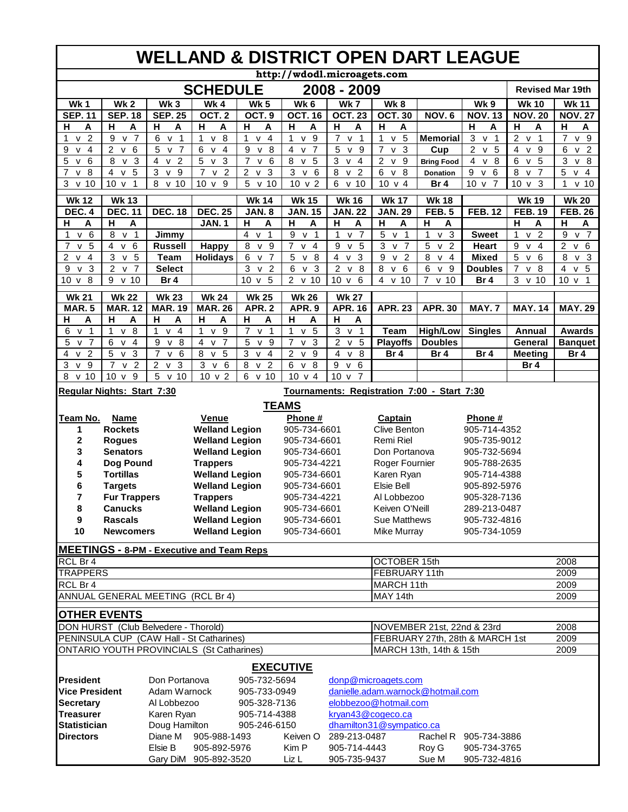|                                                | <b>WELLAND &amp; DISTRICT OPEN DART LEAGUE</b>                             |                                                                                   |                                                  |                                                                                     |                                                               |                                                                     |                                                                |                                                             |                                     |                                                |                                                |
|------------------------------------------------|----------------------------------------------------------------------------|-----------------------------------------------------------------------------------|--------------------------------------------------|-------------------------------------------------------------------------------------|---------------------------------------------------------------|---------------------------------------------------------------------|----------------------------------------------------------------|-------------------------------------------------------------|-------------------------------------|------------------------------------------------|------------------------------------------------|
|                                                |                                                                            |                                                                                   |                                                  |                                                                                     |                                                               | http://wdodl.microagets.com                                         |                                                                |                                                             |                                     |                                                |                                                |
|                                                |                                                                            |                                                                                   | <b>SCHEDULE</b>                                  |                                                                                     |                                                               | 2008 - 2009                                                         |                                                                |                                                             |                                     | <b>Revised Mar 19th</b>                        |                                                |
| <b>Wk1</b>                                     | Wk <sub>2</sub>                                                            | Wk <sub>3</sub>                                                                   | Wk4                                              | <b>Wk 5</b>                                                                         | Wk 6                                                          | Wk7                                                                 | Wk8                                                            |                                                             | Wk 9                                | <b>Wk 10</b>                                   | <b>Wk 11</b>                                   |
| <b>SEP.11</b>                                  | <b>SEP. 18</b>                                                             | <b>SEP. 25</b>                                                                    | OCT.2                                            | OCT. <sub>9</sub>                                                                   | <b>OCT. 16</b>                                                | <b>OCT. 23</b>                                                      | <b>OCT. 30</b>                                                 | <b>NOV.6</b>                                                | <b>NOV. 13</b>                      | <b>NOV. 20</b>                                 | <b>NOV. 27</b>                                 |
| н<br>Α                                         | н<br>Α                                                                     | н<br>Α                                                                            | н<br>Α                                           | н<br>Α                                                                              | н<br>Α                                                        | н<br>A                                                              | н<br>Α                                                         |                                                             | н<br>А                              | н<br>Α                                         | н<br>A                                         |
| $\overline{2}$<br>$\mathbf{1}$<br>$\mathsf{V}$ | v <sub>7</sub><br>9                                                        | 6<br>v <sub>1</sub>                                                               | v 8<br>$\mathbf{1}$                              | $v$ 4<br>1                                                                          | 9<br>1<br>$\mathsf{V}$                                        | $\overline{7}$<br>$\mathsf{V}$<br>$\mathbf{1}$                      | 5<br>$\mathbf{1}$<br>${\sf v}$                                 | <b>Memorial</b>                                             | 3<br>$\overline{1}$<br>$\mathsf{V}$ | 2 v<br>$\overline{1}$                          | $\overline{7}$<br>v <sub>9</sub>               |
| 9<br>$\overline{4}$<br>$\mathsf{V}$            | $\overline{c}$<br>6<br>v                                                   | 5<br>$\overline{7}$<br>$\mathsf{v}$                                               | 6<br>$\overline{4}$<br>$\mathsf{v}$              | 8<br>9<br>$\mathsf{v}$                                                              | $\overline{7}$<br>4<br>$\mathsf{v}$                           | 5<br>9<br>$\mathsf{v}$                                              | $\overline{3}$<br>7<br>$\mathsf{v}$                            | Cup                                                         | $\overline{2}$<br>5<br>$\mathsf{v}$ | $\overline{4}$<br>$\mathsf{v}$<br>9            | 6<br>$\overline{2}$<br>$\mathsf{v}$            |
| 5<br>v <sub>6</sub>                            | 3<br>8<br>${\sf v}$                                                        | $\overline{2}$<br>$\overline{4}$<br>$\mathsf{v}$                                  | 5<br>$\mathbf{3}$<br>$\mathsf{v}$                | $\overline{7}$<br>6<br>$\mathsf{V}$                                                 | 8<br>5<br>$\mathsf{v}$                                        | 3<br>$\overline{a}$<br>${\sf V}$                                    | $\overline{2}$<br>$9\,$<br>$\mathsf{v}$                        | <b>Bring Food</b>                                           | $\overline{4}$<br>$\mathsf{v}$<br>8 | 6<br>5<br>$\overline{v}$                       | 3<br>8<br>$\mathsf{V}$                         |
| 8<br>$\overline{7}$<br>$\mathsf{V}$            | $\overline{4}$<br>5<br>$\mathsf{v}$                                        | 3<br>$\overline{9}$<br>$\mathsf{v}$                                               | $\overline{7}$<br>$\overline{2}$<br>$\mathsf{v}$ | $\overline{2}$<br>$\overline{3}$<br>$\mathsf{v}$                                    | $\overline{3}$<br>$6\phantom{1}6$<br>${\sf v}$                | $\overline{8}$<br>$\overline{2}$<br>$\mathsf{v}$                    | $\overline{6}$<br>$\overline{8}$<br>$\mathsf{v}$               | <b>Donation</b>                                             | $\overline{9}$<br>6<br>$\mathsf{v}$ | $\overline{8}$<br>$v\bar{7}$                   | 5<br>$\overline{4}$<br>${\sf v}$               |
| 3<br>v <sub>10</sub>                           | 10 <sub>v</sub><br>$\mathbf{1}$                                            | 8<br>v <sub>10</sub>                                                              | 10 <sub>v</sub><br>9                             | 5<br>10<br>$\mathsf{v}$                                                             | $10 \text{ v } 2$                                             | 6<br>10<br>$\mathsf{v}$                                             | $10 \text{ v} 4$                                               | Br <sub>4</sub>                                             | 10 <sub>v</sub><br>$\overline{7}$   | 10 <sub>v</sub><br>3                           | $\mathbf{1}$<br>$v$ 10                         |
| <b>Wk 12</b>                                   | <b>Wk 13</b>                                                               |                                                                                   |                                                  | <b>Wk 14</b>                                                                        | <b>Wk 15</b>                                                  | <b>Wk 16</b>                                                        | <b>Wk 17</b>                                                   | <b>Wk 18</b>                                                |                                     | <b>Wk 19</b>                                   | <b>Wk 20</b>                                   |
| <b>DEC. 4</b>                                  | <b>DEC. 11</b>                                                             | <b>DEC. 18</b>                                                                    | <b>DEC. 25</b>                                   | <b>JAN. 8</b>                                                                       | <b>JAN. 15</b>                                                | <b>JAN. 22</b>                                                      | <b>JAN. 29</b>                                                 | <b>FEB.5</b>                                                | <b>FEB. 12</b>                      | <b>FEB. 19</b>                                 | <b>FEB. 26</b>                                 |
| н<br>A                                         | н<br>A                                                                     |                                                                                   | <b>JAN.1</b>                                     | н<br>A                                                                              | Н<br>A                                                        | н<br>A                                                              | н<br>A                                                         | н<br>A                                                      |                                     | н<br>A                                         | н<br>A                                         |
| v 6<br>1                                       | $\overline{1}$<br>8<br>$\mathsf{v}$                                        | Jimmy                                                                             |                                                  | 4<br>1<br>$\mathsf{V}$                                                              | 9<br>$\mathbf{1}$<br>$\mathsf{v}$                             | $\overline{7}$<br>1<br>$\mathsf{v}$                                 | 5<br>$\mathbf{1}$<br>$\mathsf{V}$                              | $\mathbf{3}$<br>$\mathbf{1}$<br>$\mathsf{V}$                | <b>Sweet</b>                        | $\overline{2}$<br>$\mathbf{1}$<br>$\mathsf{v}$ | 9<br>$\overline{7}$<br>$\mathsf{v}$            |
| $\overline{7}$<br>5<br>$\mathsf{V}$            | $\overline{4}$<br>$\mathsf{v}$<br>6                                        | <b>Russell</b>                                                                    | <b>Happy</b>                                     | $\overline{8}$<br>$\mathsf{v}$<br>9                                                 | $\overline{7}$<br>$\overline{4}$<br>$\mathsf{v}$              | $\overline{9}$<br>5<br>${\sf v}$                                    | $\overline{3}$<br>$\overline{v}$ 7                             | $\overline{5}$<br>$\overline{2}$<br>${\sf V}$               | Heart                               | $\overline{9}$<br>$v \overline{4}$             | $\overline{2}$<br>$6\phantom{1}6$<br>${\sf V}$ |
| 2<br>4<br>v                                    | 3<br>5<br>$\mathsf{v}$                                                     | <b>Team</b>                                                                       | <b>Holidays</b>                                  | 6<br>$\overline{7}$<br>$\mathsf{v}$                                                 | 5<br>8<br>$\mathsf{v}$                                        | $\overline{4}$<br>3<br>$\mathsf{v}$                                 | 9<br>$\overline{2}$<br>$\mathsf{V}$                            | 8<br>$\overline{4}$<br>v                                    | <b>Mixed</b>                        | 5<br>6<br>$\mathsf{v}$                         | 8<br>v <sub>3</sub>                            |
| 9<br>3<br>v                                    | 2<br>$\overline{7}$<br>$\mathsf{v}$                                        | <b>Select</b>                                                                     |                                                  | 3<br>$\overline{2}$<br>$\mathsf{v}$<br>5                                            | 6<br>3<br>$\mathsf{v}$<br>2 v 10                              | $\overline{2}$<br>8<br>$\mathsf{v}$<br>10 <sub>v</sub><br>6         | 8<br>6<br>$\mathsf{V}$<br>$\overline{4}$<br>$\mathsf{v}$<br>10 | 6<br>9<br>$\mathsf{v}$<br>$\overline{7}$<br>v <sub>10</sub> | <b>Doubles</b>                      | $\overline{7}$<br>$\mathbf{v}$<br>8<br>3 v 10  | v <sub>5</sub><br>4<br>10 v 1                  |
| 8<br>10<br>$\mathsf{v}$                        | 9<br>10<br>${\sf v}$                                                       | Br 4                                                                              |                                                  | 10 <sub>v</sub>                                                                     |                                                               |                                                                     |                                                                |                                                             | Br 4                                |                                                |                                                |
| <b>Wk 21</b>                                   | <b>Wk 22</b>                                                               | <b>Wk 23</b>                                                                      | <b>Wk 24</b>                                     | <b>Wk 25</b>                                                                        | <b>Wk 26</b>                                                  | <b>Wk 27</b>                                                        |                                                                |                                                             |                                     |                                                |                                                |
| <b>MAR.5</b>                                   | <b>MAR. 12</b>                                                             | <b>MAR. 19</b>                                                                    | <b>MAR. 26</b>                                   | <b>APR. 2</b>                                                                       | APR.9                                                         | <b>APR. 16</b>                                                      | <b>APR. 23</b>                                                 | <b>APR. 30</b>                                              | <b>MAY.7</b>                        | <b>MAY. 14</b>                                 | <b>MAY. 29</b>                                 |
| Н<br>Α                                         | н<br>A                                                                     | н<br>A                                                                            | н<br>A                                           | $\overline{H}$<br>A                                                                 | $\mathsf{H}$<br>A                                             | $\overline{H}$<br>$\boldsymbol{\mathsf{A}}$                         |                                                                |                                                             |                                     |                                                |                                                |
| 6<br>v <sub>1</sub>                            | 8<br>$\mathbf{1}$<br>$\mathsf{V}$                                          | $\mathbf{1}$<br>$\overline{4}$<br>$\mathsf{v}$                                    | $\mathbf{1}$<br>v <sub>9</sub>                   | $\overline{7}$<br>$\overline{1}$<br>$\mathsf{V}$                                    | $\mathbf{1}$<br>5<br>V                                        | 3<br>$\overline{1}$<br>$\mathsf{v}$                                 | <b>Team</b>                                                    | <b>High/Low</b>                                             | <b>Singles</b>                      | Annual                                         | Awards                                         |
| 5<br>v <sub>7</sub>                            | 6<br>v <sub>4</sub>                                                        | 9<br>8<br>$\mathsf{V}$                                                            | v <sub>7</sub><br>4                              | 5<br>9<br>$\mathsf{V}$                                                              | $\overline{7}$<br>3<br>$\mathsf{V}$                           | 2 v<br>5                                                            | <b>Playoffs</b>                                                | <b>Doubles</b>                                              |                                     | General                                        | <b>Banquet</b>                                 |
| 4<br>v <sub>2</sub><br>3<br>v <sub>9</sub>     | 3<br>5<br>$\mathsf{V}$<br>$\overline{2}$<br>$\overline{7}$<br>$\mathsf{v}$ | $\overline{7}$<br>v <sub>6</sub><br>$\overline{c}$<br>$\overline{3}$<br>${\sf v}$ | 5<br>8<br>$\mathsf{v}$<br>3<br>v <sub>6</sub>    | $\sqrt{3}$<br>$\overline{4}$<br>$\mathsf{v}$<br>8<br>$\overline{2}$<br>$\mathsf{v}$ | 2<br>9<br>$\mathsf{v}$<br>$\overline{8}$<br>6<br>$\mathsf{v}$ | $\overline{4}$<br>8<br>$\mathsf{v}$<br>$\,6\,$<br>9<br>$\mathsf{V}$ | Br 4                                                           | Br 4                                                        | Br 4                                | <b>Meeting</b><br>Br <sub>4</sub>              | Br 4                                           |
| 10<br>8<br>$\mathsf{V}$                        | 10 <sub>v</sub><br>9                                                       | 5<br>v <sub>10</sub>                                                              | 10 v 2                                           | v <sub>10</sub><br>6                                                                | 10 v 4                                                        | 10 <sub>v</sub><br>$\overline{7}$                                   |                                                                |                                                             |                                     |                                                |                                                |
|                                                |                                                                            |                                                                                   |                                                  |                                                                                     |                                                               |                                                                     |                                                                |                                                             |                                     |                                                |                                                |
|                                                | Regular Nights: Start 7:30                                                 |                                                                                   |                                                  |                                                                                     |                                                               |                                                                     |                                                                | Tournaments: Registration 7:00 - Start 7:30                 |                                     |                                                |                                                |
| <b>TEAMS</b>                                   |                                                                            |                                                                                   |                                                  |                                                                                     |                                                               |                                                                     |                                                                |                                                             |                                     |                                                |                                                |
| Team No.                                       | <b>Name</b>                                                                |                                                                                   | Venue                                            |                                                                                     | Phone#                                                        |                                                                     | Captain                                                        |                                                             | Phone #                             |                                                |                                                |
| 1                                              | <b>Rockets</b>                                                             |                                                                                   | <b>Welland Legion</b>                            |                                                                                     | 905-734-6601                                                  |                                                                     | Clive Benton                                                   |                                                             | 905-714-4352                        |                                                |                                                |
| 2                                              | <b>Rogues</b>                                                              |                                                                                   | <b>Welland Legion</b>                            |                                                                                     | 905-734-6601                                                  |                                                                     | Remi Riel                                                      |                                                             | 905-735-9012                        |                                                |                                                |
| 3                                              | <b>Senators</b>                                                            |                                                                                   | <b>Welland Legion</b>                            |                                                                                     | 905-734-6601                                                  |                                                                     | Don Portanova                                                  |                                                             | 905-732-5694                        |                                                |                                                |
| 4                                              | Dog Pound                                                                  |                                                                                   | <b>Trappers</b>                                  |                                                                                     | 905-734-4221                                                  |                                                                     | Roger Fournier<br>905-788-2635                                 |                                                             |                                     |                                                |                                                |
| 5                                              | <b>Tortillas</b>                                                           |                                                                                   | <b>Welland Legion</b>                            |                                                                                     | 905-734-6601                                                  |                                                                     | Karen Ryan<br>905-714-4388                                     |                                                             |                                     |                                                |                                                |
| 6                                              | <b>Targets</b>                                                             |                                                                                   | <b>Welland Legion</b>                            |                                                                                     | 905-734-6601                                                  |                                                                     | <b>Elsie Bell</b><br>905-892-5976                              |                                                             |                                     |                                                |                                                |
| 7                                              | <b>Fur Trappers</b>                                                        |                                                                                   | <b>Trappers</b>                                  |                                                                                     | 905-734-4221                                                  |                                                                     | Al Lobbezoo<br>905-328-7136                                    |                                                             |                                     |                                                |                                                |
| 8                                              | <b>Canucks</b>                                                             |                                                                                   | <b>Welland Legion</b>                            |                                                                                     | 905-734-6601                                                  |                                                                     | Keiven O'Neill<br>289-213-0487                                 |                                                             |                                     |                                                |                                                |
| 9                                              | <b>Rascals</b>                                                             |                                                                                   | <b>Welland Legion</b>                            |                                                                                     | 905-734-6601                                                  |                                                                     | Sue Matthews<br>905-732-4816                                   |                                                             |                                     |                                                |                                                |
| 10                                             | <b>Newcomers</b>                                                           |                                                                                   | <b>Welland Legion</b>                            |                                                                                     | 905-734-6601                                                  |                                                                     | Mike Murray                                                    |                                                             | 905-734-1059                        |                                                |                                                |
|                                                |                                                                            |                                                                                   | <b>MEETINGS - 8-PM - Executive and Team Reps</b> |                                                                                     |                                                               |                                                                     |                                                                |                                                             |                                     |                                                |                                                |
| RCL Br 4                                       |                                                                            |                                                                                   |                                                  |                                                                                     |                                                               |                                                                     | <b>OCTOBER 15th</b>                                            |                                                             |                                     |                                                | 2008                                           |
| <b>TRAPPERS</b>                                |                                                                            |                                                                                   |                                                  |                                                                                     |                                                               |                                                                     | FEBRUARY 11th                                                  |                                                             |                                     |                                                | 2009                                           |
| RCL Br 4                                       |                                                                            |                                                                                   |                                                  |                                                                                     |                                                               |                                                                     | MARCH 11th                                                     |                                                             |                                     |                                                | 2009                                           |
|                                                | ANNUAL GENERAL MEETING (RCL Br 4)                                          |                                                                                   |                                                  |                                                                                     |                                                               |                                                                     | MAY 14th                                                       |                                                             |                                     |                                                | 2009                                           |
| <b>OTHER EVENTS</b>                            |                                                                            |                                                                                   |                                                  |                                                                                     |                                                               |                                                                     |                                                                |                                                             |                                     |                                                |                                                |
|                                                | DON HURST (Club Belvedere - Thorold)                                       |                                                                                   |                                                  |                                                                                     |                                                               |                                                                     |                                                                | NOVEMBER 21st, 22nd & 23rd                                  |                                     |                                                | 2008                                           |
|                                                |                                                                            |                                                                                   | PENINSULA CUP (CAW Hall - St Catharines)         |                                                                                     |                                                               |                                                                     |                                                                | FEBRUARY 27th, 28th & MARCH 1st                             |                                     |                                                | 2009                                           |
|                                                |                                                                            |                                                                                   | <b>ONTARIO YOUTH PROVINCIALS (St Catharines)</b> |                                                                                     |                                                               |                                                                     |                                                                | MARCH 13th, 14th & 15th                                     |                                     |                                                | 2009                                           |
|                                                |                                                                            |                                                                                   |                                                  |                                                                                     |                                                               |                                                                     |                                                                |                                                             |                                     |                                                |                                                |
|                                                |                                                                            |                                                                                   |                                                  |                                                                                     | <b>EXECUTIVE</b>                                              |                                                                     |                                                                |                                                             |                                     |                                                |                                                |
| <b>President</b>                               |                                                                            | Don Portanova                                                                     |                                                  | 905-732-5694                                                                        |                                                               |                                                                     | donp@microagets.com                                            |                                                             |                                     |                                                |                                                |
| <b>Vice President</b>                          |                                                                            | Adam Warnock                                                                      |                                                  | 905-733-0949                                                                        |                                                               |                                                                     |                                                                | danielle.adam.warnock@hotmail.com                           |                                     |                                                |                                                |
| <b>Secretary</b>                               |                                                                            | Al Lobbezoo                                                                       |                                                  | 905-328-7136                                                                        |                                                               |                                                                     | elobbezoo@hotmail.com                                          |                                                             |                                     |                                                |                                                |
| <b>Treasurer</b>                               |                                                                            | Karen Ryan                                                                        |                                                  | 905-714-4388                                                                        |                                                               |                                                                     | kryan43@cogeco.ca                                              |                                                             |                                     |                                                |                                                |
| <b>Statistician</b>                            |                                                                            | Doug Hamilton                                                                     |                                                  | 905-246-6150                                                                        |                                                               |                                                                     | dhamilton31@sympatico.ca                                       |                                                             |                                     |                                                |                                                |
| <b>Directors</b>                               |                                                                            | Diane M                                                                           | 905-988-1493                                     |                                                                                     | Keiven O                                                      | 289-213-0487                                                        |                                                                | Rachel R                                                    | 905-734-3886                        |                                                |                                                |
|                                                |                                                                            | Elsie B                                                                           | 905-892-5976                                     |                                                                                     | Kim P                                                         | 905-714-4443                                                        |                                                                | Roy G                                                       | 905-734-3765                        |                                                |                                                |
|                                                |                                                                            |                                                                                   | Gary DiM 905-892-3520                            |                                                                                     | Liz L                                                         | 905-735-9437                                                        |                                                                | Sue M                                                       | 905-732-4816                        |                                                |                                                |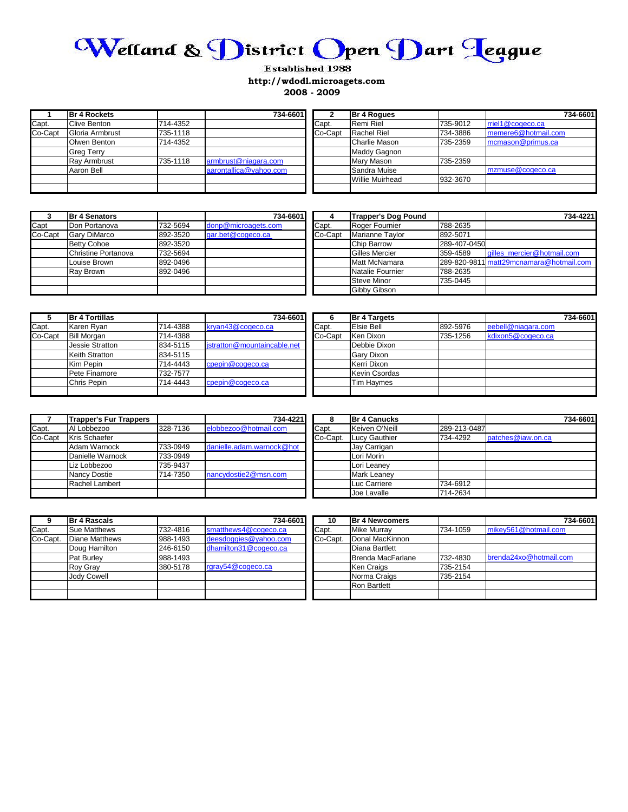

## **Established 1988 http://wdodl.microagets.com 2008 - 2009**

|         | <b>Br 4 Rockets</b> |          | 734-6601               |         | <b>Br 4 Roques</b>     |          | 734-6601            |
|---------|---------------------|----------|------------------------|---------|------------------------|----------|---------------------|
| Capt.   | <b>Clive Benton</b> | 714-4352 |                        | Capt.   | Remi Riel              | 735-9012 | rriel1@cogeco.ca    |
| Co-Capt | Gloria Armbrust     | 735-1118 |                        | Co-Capt | <b>Rachel Riel</b>     | 734-3886 | memere6@hotmail.com |
|         | Olwen Benton        | 714-4352 |                        |         | <b>Charlie Mason</b>   | 735-2359 | mcmason@primus.ca   |
|         | <b>Greg Terry</b>   |          |                        |         | <b>Maddy Gagnon</b>    |          |                     |
|         | <b>Ray Armbrust</b> | 735-1118 | armbrust@niagara.com   |         | <b>Mary Mason</b>      | 735-2359 |                     |
|         | Aaron Bell          |          | aarontallica@yahoo.com |         | Sandra Muise           |          | mzmuse@cogeco.ca    |
|         |                     |          |                        |         | <b>Willie Muirhead</b> | 932-3670 |                     |
|         |                     |          |                        |         |                        |          |                     |

| 3       | <b>Br 4 Senators</b> |          | 734-6601            |         | <b>Trapper's Dog Pound</b> |              | 734-4221                                |
|---------|----------------------|----------|---------------------|---------|----------------------------|--------------|-----------------------------------------|
| Capt    | Don Portanova        | 732-5694 | donp@microagets.com | Capt.   | Roger Fournier             | 788-2635     |                                         |
| Co-Capt | <b>Gary DiMarco</b>  | 892-3520 | gar.bet@cogeco.ca   | Co-Capt | Marianne Taylor            | 892-5071     |                                         |
|         | <b>Betty Cohoe</b>   | 892-3520 |                     |         | <b>Chip Barrow</b>         | 289-407-0450 |                                         |
|         | Christine Portanova  | 732-5694 |                     |         | <b>Gilles Mercier</b>      | 359-4589     | gilles mercier@hotmail.com              |
|         | Louise Brown         | 892-0496 |                     |         | Matt McNamara              |              | 289-820-9811 matt29mcnamara@hotmail.com |
|         | Ray Brown            | 892-0496 |                     |         | Natalie Fournier           | 788-2635     |                                         |
|         |                      |          |                     |         | <b>Steve Minor</b>         | 735-0445     |                                         |
|         |                      |          |                     |         | <b>Gibby Gibson</b>        |              |                                         |

|         | <b>Br 4 Tortillas</b>  |          | 734-6601                    |         | <b>Br 4 Targets</b>  |          |                    | 734-6601 |
|---------|------------------------|----------|-----------------------------|---------|----------------------|----------|--------------------|----------|
| Capt.   | Karen Rvan             | 714-4388 | kryan43@cogeco.ca           | Capt.   | Elsie Bell           | 892-5976 | eebell@niagara.com |          |
| Co-Capt | <b>Bill Morgan</b>     | 714-4388 |                             | Co-Capt | Ken Dixon            | 735-1256 | kdixon5@cogeco.ca  |          |
|         | <b>Jessie Stratton</b> | 834-5115 | jstratton@mountaincable.net |         | Debbie Dixon         |          |                    |          |
|         | <b>Keith Stratton</b>  | 834-5115 |                             |         | <b>Gary Dixon</b>    |          |                    |          |
|         | Kim Pepin              | 714-4443 | cpepin@cogeco.ca            |         | Kerri Dixon          |          |                    |          |
|         | Pete Finamore          | 732-7577 |                             |         | <b>Kevin Csordas</b> |          |                    |          |
|         | Chris Pepin            | 714-4443 | cpepin@cogeco.ca            |         | <b>Tim Havmes</b>    |          |                    |          |
|         |                        |          |                             |         |                      |          |                    |          |

|         | <b>Trapper's Fur Trappers</b> |          | 734-4221                  | õ        | <b>Br 4 Canucks</b> |              |                   | 734-6601 |
|---------|-------------------------------|----------|---------------------------|----------|---------------------|--------------|-------------------|----------|
| Capt.   | Al Lobbezoo                   | 328-7136 | elobbezoo@hotmail.com     | Capt.    | Keiven O'Neill      | 289-213-0487 |                   |          |
| Co-Capt | Kris Schaefer                 |          |                           | Co-Capt. | Lucy Gauthier       | 734-4292     | patches@iaw.on.ca |          |
|         | Adam Warnock                  | 733-0949 | danielle.adam.warnock@hot |          | Jav Carrigan        |              |                   |          |
|         | Danielle Warnock              | 733-0949 |                           |          | Lori Morin          |              |                   |          |
|         | Liz Lobbezoo                  | 735-9437 |                           |          | Lori Leanev         |              |                   |          |
|         | Nancy Dostie                  | 714-7350 | nancydostie2@msn.com      |          | <b>Mark Leanev</b>  |              |                   |          |
|         | Rachel Lambert                |          |                           |          | Luc Carriere        | 734-6912     |                   |          |
|         |                               |          |                           |          | Joe Lavalle         | 714-2634     |                   |          |

|          | <b>Br 4 Rascals</b>   |          | 734-6601              | 10       | <b>Br 4 Newcomers</b> |          | 734-6601               |
|----------|-----------------------|----------|-----------------------|----------|-----------------------|----------|------------------------|
| Capt.    | <b>Sue Matthews</b>   | 732-4816 | smatthews4@cogeco.ca  | Capt.    | <b>Mike Murrav</b>    | 734-1059 | mikey561@hotmail.com   |
| Co-Capt. | <b>Diane Matthews</b> | 988-1493 | deesdoggies@yahoo.com | Co-Capt. | Donal MacKinnon       |          |                        |
|          | Doug Hamilton         | 246-6150 | dhamilton31@cogeco.ca |          | Diana Bartlett        |          |                        |
|          | Pat Burley            | 988-1493 |                       |          | Brenda MacFarlane     | 732-4830 | brenda24xo@hotmail.com |
|          | <b>Roy Gray</b>       | 380-5178 | rgray54@cogeco.ca     |          | <b>Ken Craigs</b>     | 735-2154 |                        |
|          | <b>Jody Cowell</b>    |          |                       |          | Norma Craigs          | 735-2154 |                        |
|          |                       |          |                       |          | <b>Ron Bartlett</b>   |          |                        |
|          |                       |          |                       |          |                       |          |                        |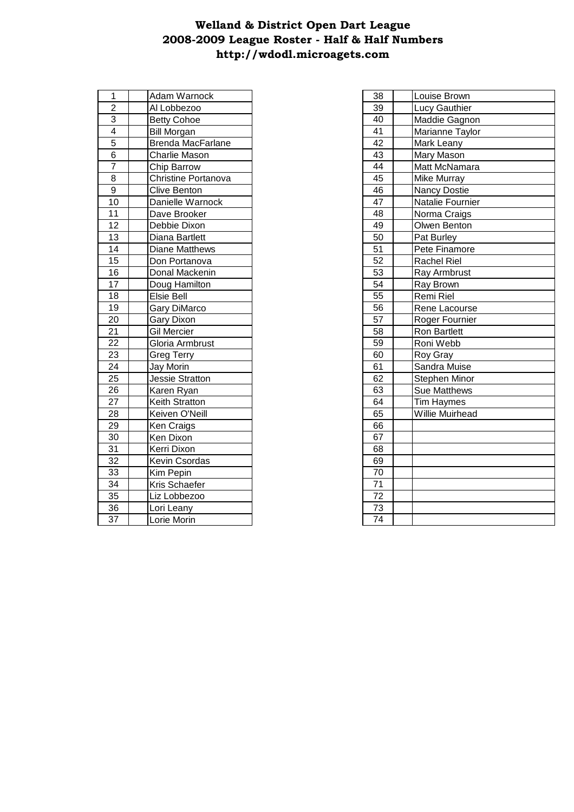## **http://wdodl.microagets.com 2008-2009 League Roster - Half & Half Numbers Welland & District Open Dart League**

| 1                       | Adam Warnock        | 38 | Louise Brown        |
|-------------------------|---------------------|----|---------------------|
| $\overline{2}$          | Al Lobbezoo         | 39 | Lucy Gauthier       |
| 3                       | <b>Betty Cohoe</b>  | 40 | Maddie Gagnon       |
| $\overline{\mathbf{4}}$ | <b>Bill Morgan</b>  | 41 | Marianne Taylor     |
| 5                       | Brenda MacFarlane   | 42 | Mark Leany          |
| $\overline{6}$          | Charlie Mason       | 43 | Mary Mason          |
| $\overline{7}$          | Chip Barrow         | 44 | Matt McNamara       |
| 8                       | Christine Portanova | 45 | Mike Murray         |
| $\boldsymbol{9}$        | Clive Benton        | 46 | <b>Nancy Dostie</b> |
| 10                      | Danielle Warnock    | 47 | Natalie Fournier    |
| 11                      | Dave Brooker        | 48 | Norma Craigs        |
| 12                      | Debbie Dixon        | 49 | Olwen Benton        |
| 13                      | Diana Bartlett      | 50 | Pat Burley          |
| 14                      | Diane Matthews      | 51 | Pete Finamore       |
| 15                      | Don Portanova       | 52 | Rachel Riel         |
| 16                      | Donal Mackenin      | 53 | Ray Armbrust        |
| 17                      | Doug Hamilton       | 54 | Ray Brown           |
| 18                      | Elsie Bell          | 55 | Remi Riel           |
| 19                      | Gary DiMarco        | 56 | Rene Lacourse       |
| 20                      | Gary Dixon          | 57 | Roger Fournier      |
| 21                      | Gil Mercier         | 58 | Ron Bartlett        |
| 22                      | Gloria Armbrust     | 59 | Roni Webb           |
| 23                      | <b>Greg Terry</b>   | 60 | Roy Gray            |
| 24                      | Jay Morin           | 61 | Sandra Muise        |
| 25                      | Jessie Stratton     | 62 | Stephen Minor       |
| 26                      | Karen Ryan          | 63 | Sue Matthews        |
| 27                      | Keith Stratton      | 64 | <b>Tim Haymes</b>   |
| 28                      | Keiven O'Neill      | 65 | Willie Muirhead     |
| 29                      | Ken Craigs          | 66 |                     |
| 30                      | Ken Dixon           | 67 |                     |
| 31                      | Kerri Dixon         | 68 |                     |
| 32                      | Kevin Csordas       | 69 |                     |
| 33                      | Kim Pepin           | 70 |                     |
| 34                      | Kris Schaefer       | 71 |                     |
| 35                      | Liz Lobbezoo        | 72 |                     |
| 36                      | Lori Leany          | 73 |                     |
| 37                      | Lorie Morin         | 74 |                     |
|                         |                     |    |                     |

| 38              | Louise Brown        |
|-----------------|---------------------|
| 39              | Lucy Gauthier       |
| 40              | Maddie Gagnon       |
| 41              | Marianne Taylor     |
| $\overline{42}$ | Mark Leany          |
| 43              | Mary Mason          |
| 44              | Matt McNamara       |
| 45              | Mike Murray         |
| 46              | <b>Nancy Dostie</b> |
| 47              | Natalie Fournier    |
| 48              | Norma Craigs        |
| 49              | Olwen Benton        |
| 50              | Pat Burley          |
| $\overline{51}$ | Pete Finamore       |
| $\overline{52}$ | <b>Rachel Riel</b>  |
| $\overline{53}$ | Ray Armbrust        |
| $\overline{54}$ | Ray Brown           |
| $\overline{55}$ | Remi Riel           |
| 56              | Rene Lacourse       |
| $\overline{57}$ | Roger Fournier      |
| 58              | <b>Ron Bartlett</b> |
| $\overline{59}$ | Roni Webb           |
| 60              | Roy Gray            |
| 61              | Sandra Muise        |
| 62              | Stephen Minor       |
| 63              | <b>Sue Matthews</b> |
| 64              | Tim Haymes          |
| 65              | Willie Muirhead     |
| 66              |                     |
| 67              |                     |
| 68              |                     |
| 69              |                     |
| 70              |                     |
| $\overline{71}$ |                     |
| $\overline{72}$ |                     |
| 73              |                     |
| $\overline{74}$ |                     |